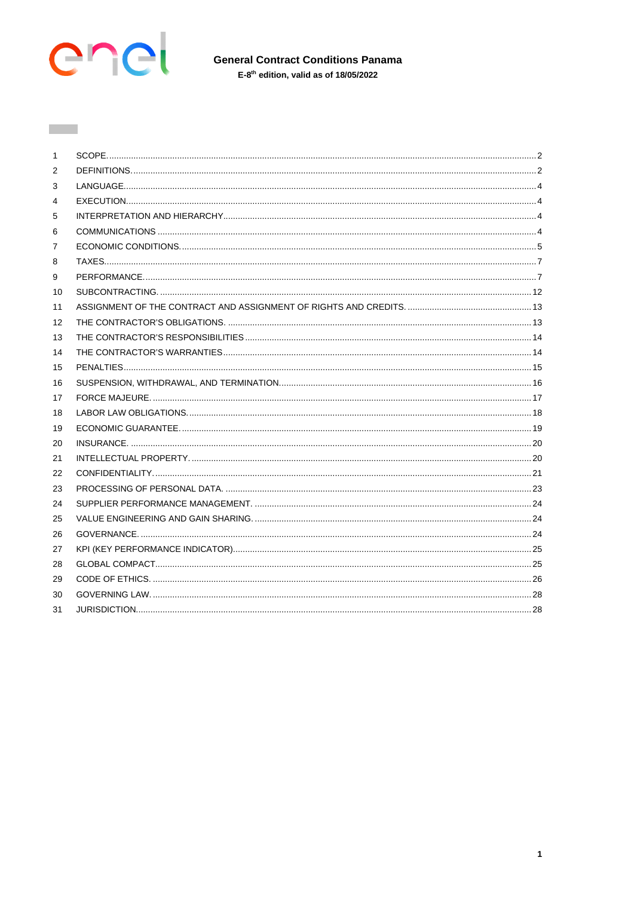

 $\mathcal{L}^{\text{max}}_{\text{max}}$ 

| 1  |  |
|----|--|
| 2  |  |
| 3  |  |
| 4  |  |
| 5  |  |
| 6  |  |
| 7  |  |
| 8  |  |
| 9  |  |
| 10 |  |
| 11 |  |
| 12 |  |
| 13 |  |
| 14 |  |
| 15 |  |
| 16 |  |
| 17 |  |
| 18 |  |
| 19 |  |
| 20 |  |
| 21 |  |
| 22 |  |
| 23 |  |
| 24 |  |
| 25 |  |
| 26 |  |
| 27 |  |
| 28 |  |
| 29 |  |
| 30 |  |
| 31 |  |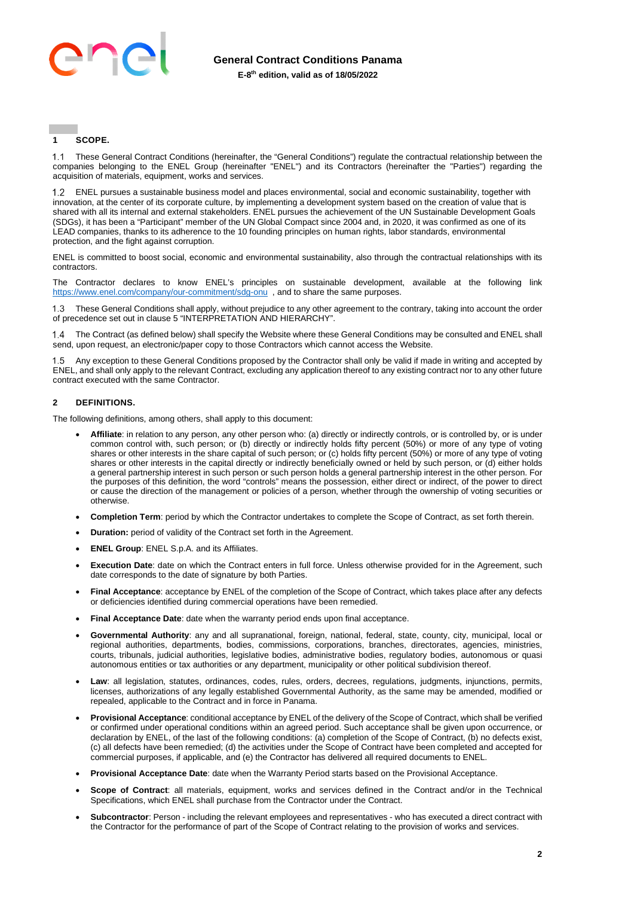

# <span id="page-1-0"></span>**1 SCOPE.**

 These General Contract Conditions (hereinafter, the "General Conditions") regulate the contractual relationship between the companies belonging to the ENEL Group (hereinafter "ENEL") and its Contractors (hereinafter the "Parties") regarding the acquisition of materials, equipment, works and services.

 ENEL pursues a sustainable business model and places environmental, social and economic sustainability, together with innovation, at the center of its corporate culture, by implementing a development system based on the creation of value that is shared with all its internal and external stakeholders. ENEL pursues the achievement of the UN Sustainable Development Goals (SDGs), it has been a "Participant" member of the UN Global Compact since 2004 and, in 2020, it was confirmed as one of its LEAD companies, thanks to its adherence to the 10 founding principles on human rights, labor standards, environmental protection, and the fight against corruption.

ENEL is committed to boost social, economic and environmental sustainability, also through the contractual relationships with its contractors.

The Contractor declares to know ENEL's principles on sustainable development, available at the following link <https://www.enel.com/company/our-commitment/sdg-onu>, and to share the same purposes.

 These General Conditions shall apply, without prejudice to any other agreement to the contrary, taking into account the order of precedence set out in claus[e 5](#page-3-2) "INTERPRETATION AND HIERARCHY".

 The Contract (as defined below) shall specify the Website where these General Conditions may be consulted and ENEL shall send, upon request, an electronic/paper copy to those Contractors which cannot access the Website.

 Any exception to these General Conditions proposed by the Contractor shall only be valid if made in writing and accepted by ENEL, and shall only apply to the relevant Contract, excluding any application thereof to any existing contract nor to any other future contract executed with the same Contractor.

# <span id="page-1-1"></span>**2 DEFINITIONS.**

The following definitions, among others, shall apply to this document:

- **Affiliate**: in relation to any person, any other person who: (a) directly or indirectly controls, or is controlled by, or is under common control with, such person; or (b) directly or indirectly holds fifty percent (50%) or more of any type of voting shares or other interests in the share capital of such person; or (c) holds fifty percent (50%) or more of any type of voting shares or other interests in the capital directly or indirectly beneficially owned or held by such person, or (d) either holds a general partnership interest in such person or such person holds a general partnership interest in the other person. For the purposes of this definition, the word "controls" means the possession, either direct or indirect, of the power to direct or cause the direction of the management or policies of a person, whether through the ownership of voting securities or otherwise.
- **Completion Term**: period by which the Contractor undertakes to complete the Scope of Contract, as set forth therein.
- **Duration:** period of validity of the Contract set forth in the Agreement.
- **ENEL Group**: ENEL S.p.A. and its Affiliates.
- **Execution Date**: date on which the Contract enters in full force. Unless otherwise provided for in the Agreement, such date corresponds to the date of signature by both Parties.
- **Final Acceptance**: acceptance by ENEL of the completion of the Scope of Contract, which takes place after any defects or deficiencies identified during commercial operations have been remedied.
- **Final Acceptance Date**: date when the warranty period ends upon final acceptance.
- **Governmental Authority**: any and all supranational, foreign, national, federal, state, county, city, municipal, local or regional authorities, departments, bodies, commissions, corporations, branches, directorates, agencies, ministries, courts, tribunals, judicial authorities, legislative bodies, administrative bodies, regulatory bodies, autonomous or quasi autonomous entities or tax authorities or any department, municipality or other political subdivision thereof.
- Law: all legislation, statutes, ordinances, codes, rules, orders, decrees, regulations, judgments, injunctions, permits, licenses, authorizations of any legally established Governmental Authority, as the same may be amended, modified or repealed, applicable to the Contract and in force in Panama.
- **Provisional Acceptance**: conditional acceptance by ENEL of the delivery of the Scope of Contract, which shall be verified or confirmed under operational conditions within an agreed period. Such acceptance shall be given upon occurrence, or declaration by ENEL, of the last of the following conditions: (a) completion of the Scope of Contract, (b) no defects exist, (c) all defects have been remedied; (d) the activities under the Scope of Contract have been completed and accepted for commercial purposes, if applicable, and (e) the Contractor has delivered all required documents to ENEL.
- **Provisional Acceptance Date**: date when the Warranty Period starts based on the Provisional Acceptance.
- **Scope of Contract:** all materials, equipment, works and services defined in the Contract and/or in the Technical Specifications, which ENEL shall purchase from the Contractor under the Contract.
- **Subcontractor**: Person including the relevant employees and representatives who has executed a direct contract with the Contractor for the performance of part of the Scope of Contract relating to the provision of works and services.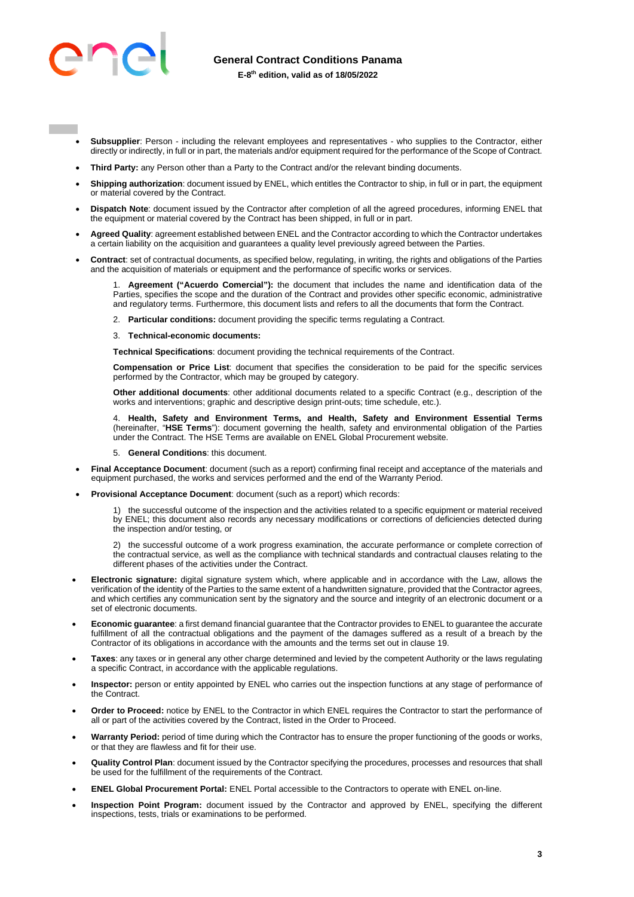

- - **Subsupplier**: Person including the relevant employees and representatives who supplies to the Contractor, either directly or indirectly, in full or in part, the materials and/or equipment required for the performance of the Scope of Contract.
	- **Third Party:** any Person other than a Party to the Contract and/or the relevant binding documents.
	- **Shipping authorization**: document issued by ENEL, which entitles the Contractor to ship, in full or in part, the equipment or material covered by the Contract.
	- **Dispatch Note**: document issued by the Contractor after completion of all the agreed procedures, informing ENEL that the equipment or material covered by the Contract has been shipped, in full or in part.
	- **Agreed Quality**: agreement established between ENEL and the Contractor according to which the Contractor undertakes a certain liability on the acquisition and guarantees a quality level previously agreed between the Parties.
	- **Contract**: set of contractual documents, as specified below, regulating, in writing, the rights and obligations of the Parties and the acquisition of materials or equipment and the performance of specific works or services.

Agreement ("Acuerdo Comercial"): the document that includes the name and identification data of the Parties, specifies the scope and the duration of the Contract and provides other specific economic, administrative and regulatory terms. Furthermore, this document lists and refers to all the documents that form the Contract.

2. **Particular conditions:** document providing the specific terms regulating a Contract.

#### 3. **Technical-economic documents:**

**Technical Specifications**: document providing the technical requirements of the Contract.

**Compensation or Price List**: document that specifies the consideration to be paid for the specific services performed by the Contractor, which may be grouped by category.

**Other additional documents**: other additional documents related to a specific Contract (e.g., description of the works and interventions; graphic and descriptive design print-outs; time schedule, etc.).

4. **Health, Safety and Environment Terms, and Health, Safety and Environment Essential Terms**  (hereinafter, "**HSE Terms**"): document governing the health, safety and environmental obligation of the Parties under the Contract. The HSE Terms are available on ENEL Global Procurement website.

#### 5. **General Conditions**: this document.

- **Final Acceptance Document**: document (such as a report) confirming final receipt and acceptance of the materials and equipment purchased, the works and services performed and the end of the Warranty Period.
- **Provisional Acceptance Document**: document (such as a report) which records:

1) the successful outcome of the inspection and the activities related to a specific equipment or material received by ENEL; this document also records any necessary modifications or corrections of deficiencies detected during the inspection and/or testing, or

2) the successful outcome of a work progress examination, the accurate performance or complete correction of the contractual service, as well as the compliance with technical standards and contractual clauses relating to the different phases of the activities under the Contract.

- **Electronic signature:** digital signature system which, where applicable and in accordance with the Law, allows the verification of the identity of the Parties to the same extent of a handwritten signature, provided that the Contractor agrees, and which certifies any communication sent by the signatory and the source and integrity of an electronic document or a set of electronic documents.
- **Economic guarantee**: a first demand financial guarantee that the Contractor provides to ENEL to guarantee the accurate fulfillment of all the contractual obligations and the payment of the damages suffered as a result of a breach by the Contractor of its obligations in accordance with the amounts and the terms set out in clause 19.
- **Taxes**: any taxes or in general any other charge determined and levied by the competent Authority or the laws regulating a specific Contract, in accordance with the applicable regulations.
- **Inspector:** person or entity appointed by ENEL who carries out the inspection functions at any stage of performance of the Contract.
- **Order to Proceed:** notice by ENEL to the Contractor in which ENEL requires the Contractor to start the performance of all or part of the activities covered by the Contract, listed in the Order to Proceed.
- **Warranty Period:** period of time during which the Contractor has to ensure the proper functioning of the goods or works, or that they are flawless and fit for their use.
- **Quality Control Plan**: document issued by the Contractor specifying the procedures, processes and resources that shall be used for the fulfillment of the requirements of the Contract.
- **ENEL Global Procurement Portal:** ENEL Portal accessible to the Contractors to operate with ENEL on-line.
- **Inspection Point Program:** document issued by the Contractor and approved by ENEL, specifying the different inspections, tests, trials or examinations to be performed.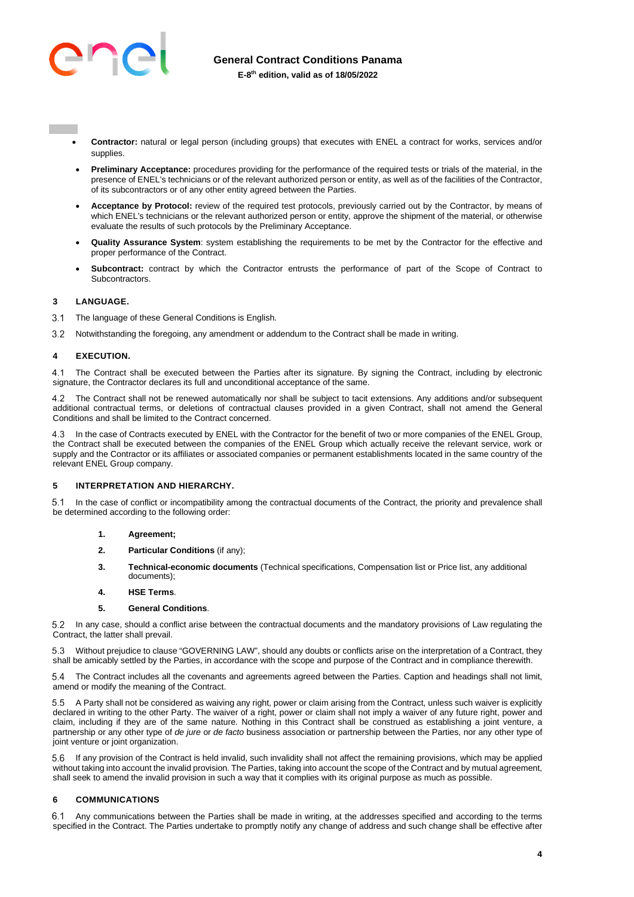

- - **Contractor:** natural or legal person (including groups) that executes with ENEL a contract for works, services and/or supplies.
	- **Preliminary Acceptance:** procedures providing for the performance of the required tests or trials of the material, in the presence of ENEL's technicians or of the relevant authorized person or entity, as well as of the facilities of the Contractor, of its subcontractors or of any other entity agreed between the Parties.
	- **Acceptance by Protocol:** review of the required test protocols, previously carried out by the Contractor, by means of which ENEL's technicians or the relevant authorized person or entity, approve the shipment of the material, or otherwise evaluate the results of such protocols by the Preliminary Acceptance.
	- **Quality Assurance System**: system establishing the requirements to be met by the Contractor for the effective and proper performance of the Contract.
	- **Subcontract:** contract by which the Contractor entrusts the performance of part of the Scope of Contract to **Subcontractors**

# <span id="page-3-0"></span>**3 LANGUAGE.**

- 3.1 The language of these General Conditions is English.
- Notwithstanding the foregoing, any amendment or addendum to the Contract shall be made in writing.

# <span id="page-3-1"></span>**4 EXECUTION.**

 The Contract shall be executed between the Parties after its signature. By signing the Contract, including by electronic signature, the Contractor declares its full and unconditional acceptance of the same.

 The Contract shall not be renewed automatically nor shall be subject to tacit extensions. Any additions and/or subsequent additional contractual terms, or deletions of contractual clauses provided in a given Contract, shall not amend the General Conditions and shall be limited to the Contract concerned.

 In the case of Contracts executed by ENEL with the Contractor for the benefit of two or more companies of the ENEL Group, the Contract shall be executed between the companies of the ENEL Group which actually receive the relevant service, work or supply and the Contractor or its affiliates or associated companies or permanent establishments located in the same country of the relevant ENEL Group company.

# <span id="page-3-2"></span>**5 INTERPRETATION AND HIERARCHY.**

 In the case of conflict or incompatibility among the contractual documents of the Contract, the priority and prevalence shall be determined according to the following order:

- **1. Agreement;**
- **2. Particular Conditions** (if any);
- **3. Technical-economic documents** (Technical specifications, Compensation list or Price list, any additional documents);
- **4. HSE Terms**.

#### **5. General Conditions**.

 In any case, should a conflict arise between the contractual documents and the mandatory provisions of Law regulating the Contract, the latter shall prevail.

 Without prejudice to clause "GOVERNING LAW", should any doubts or conflicts arise on the interpretation of a Contract, they shall be amicably settled by the Parties, in accordance with the scope and purpose of the Contract and in compliance therewith.

 The Contract includes all the covenants and agreements agreed between the Parties. Caption and headings shall not limit, amend or modify the meaning of the Contract.

 A Party shall not be considered as waiving any right, power or claim arising from the Contract, unless such waiver is explicitly declared in writing to the other Party. The waiver of a right, power or claim shall not imply a waiver of any future right, power and claim, including if they are of the same nature. Nothing in this Contract shall be construed as establishing a joint venture, a partnership or any other type of *de jure* or *de facto* business association or partnership between the Parties, nor any other type of joint venture or joint organization.

 If any provision of the Contract is held invalid, such invalidity shall not affect the remaining provisions, which may be applied without taking into account the invalid provision. The Parties, taking into account the scope of the Contract and by mutual agreement, shall seek to amend the invalid provision in such a way that it complies with its original purpose as much as possible.

#### <span id="page-3-3"></span>**6 COMMUNICATIONS**

 Any communications between the Parties shall be made in writing, at the addresses specified and according to the terms specified in the Contract. The Parties undertake to promptly notify any change of address and such change shall be effective after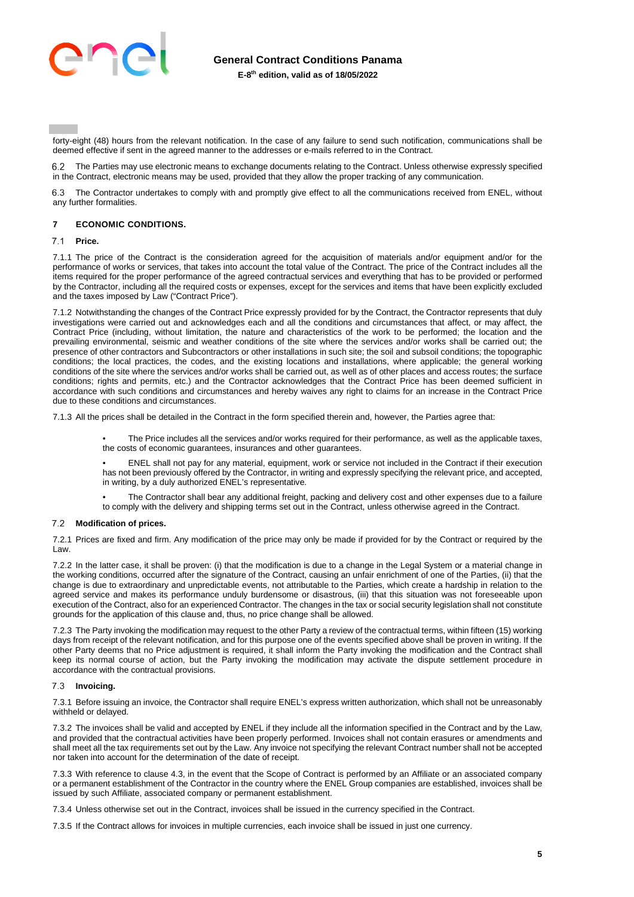

forty-eight (48) hours from the relevant notification. In the case of any failure to send such notification, communications shall be deemed effective if sent in the agreed manner to the addresses or e-mails referred to in the Contract.

 The Parties may use electronic means to exchange documents relating to the Contract. Unless otherwise expressly specified in the Contract, electronic means may be used, provided that they allow the proper tracking of any communication.

 The Contractor undertakes to comply with and promptly give effect to all the communications received from ENEL, without any further formalities.

### <span id="page-4-0"></span>**7 ECONOMIC CONDITIONS.**

#### $7.1$ **Price.**

7.1.1 The price of the Contract is the consideration agreed for the acquisition of materials and/or equipment and/or for the performance of works or services, that takes into account the total value of the Contract. The price of the Contract includes all the items required for the proper performance of the agreed contractual services and everything that has to be provided or performed by the Contractor, including all the required costs or expenses, except for the services and items that have been explicitly excluded and the taxes imposed by Law ("Contract Price").

7.1.2 Notwithstanding the changes of the Contract Price expressly provided for by the Contract, the Contractor represents that duly investigations were carried out and acknowledges each and all the conditions and circumstances that affect, or may affect, the Contract Price (including, without limitation, the nature and characteristics of the work to be performed; the location and the prevailing environmental, seismic and weather conditions of the site where the services and/or works shall be carried out; the presence of other contractors and Subcontractors or other installations in such site; the soil and subsoil conditions; the topographic conditions; the local practices, the codes, and the existing locations and installations, where applicable; the general working conditions of the site where the services and/or works shall be carried out, as well as of other places and access routes; the surface conditions; rights and permits, etc.) and the Contractor acknowledges that the Contract Price has been deemed sufficient in accordance with such conditions and circumstances and hereby waives any right to claims for an increase in the Contract Price due to these conditions and circumstances.

7.1.3 All the prices shall be detailed in the Contract in the form specified therein and, however, the Parties agree that:

• The Price includes all the services and/or works required for their performance, as well as the applicable taxes, the costs of economic guarantees, insurances and other guarantees.

• ENEL shall not pay for any material, equipment, work or service not included in the Contract if their execution has not been previously offered by the Contractor, in writing and expressly specifying the relevant price, and accepted, in writing, by a duly authorized ENEL's representative.

• The Contractor shall bear any additional freight, packing and delivery cost and other expenses due to a failure to comply with the delivery and shipping terms set out in the Contract, unless otherwise agreed in the Contract.

#### **Modification of prices.**

7.2.1 Prices are fixed and firm. Any modification of the price may only be made if provided for by the Contract or required by the Law.

7.2.2 In the latter case, it shall be proven: (i) that the modification is due to a change in the Legal System or a material change in the working conditions, occurred after the signature of the Contract, causing an unfair enrichment of one of the Parties, (ii) that the change is due to extraordinary and unpredictable events, not attributable to the Parties, which create a hardship in relation to the agreed service and makes its performance unduly burdensome or disastrous, (iii) that this situation was not foreseeable upon execution of the Contract, also for an experienced Contractor. The changes in the tax or social security legislation shall not constitute grounds for the application of this clause and, thus, no price change shall be allowed.

7.2.3 The Party invoking the modification may request to the other Party a review of the contractual terms, within fifteen (15) working days from receipt of the relevant notification, and for this purpose one of the events specified above shall be proven in writing. If the other Party deems that no Price adjustment is required, it shall inform the Party invoking the modification and the Contract shall keep its normal course of action, but the Party invoking the modification may activate the dispute settlement procedure in accordance with the contractual provisions.

#### **Invoicing.**

7.3.1 Before issuing an invoice, the Contractor shall require ENEL's express written authorization, which shall not be unreasonably withheld or delayed.

7.3.2 The invoices shall be valid and accepted by ENEL if they include all the information specified in the Contract and by the Law, and provided that the contractual activities have been properly performed. Invoices shall not contain erasures or amendments and shall meet all the tax requirements set out by the Law. Any invoice not specifying the relevant Contract number shall not be accepted nor taken into account for the determination of the date of receipt.

7.3.3 With reference to clause 4.3, in the event that the Scope of Contract is performed by an Affiliate or an associated company or a permanent establishment of the Contractor in the country where the ENEL Group companies are established, invoices shall be issued by such Affiliate, associated company or permanent establishment.

7.3.4 Unless otherwise set out in the Contract, invoices shall be issued in the currency specified in the Contract.

7.3.5 If the Contract allows for invoices in multiple currencies, each invoice shall be issued in just one currency.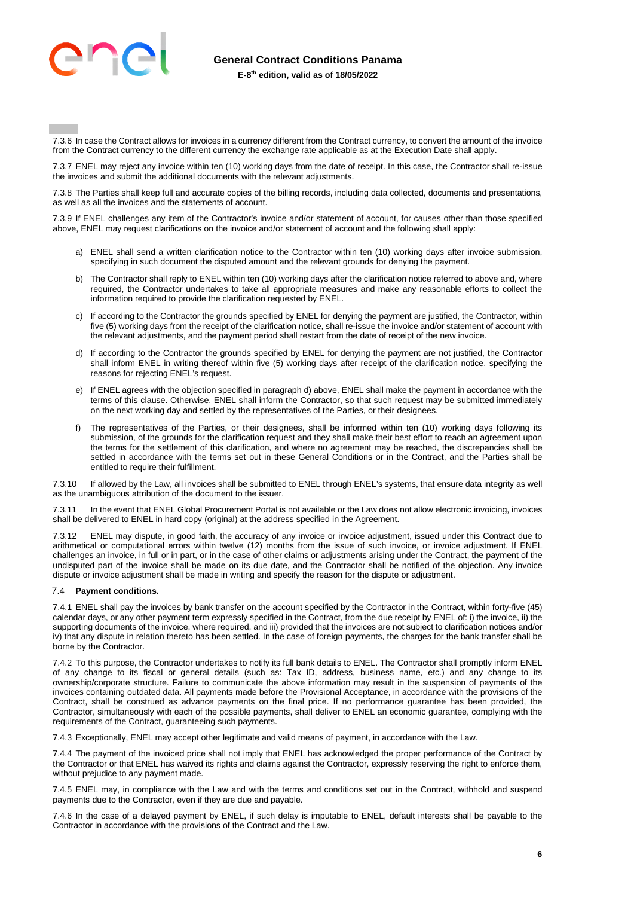

7.3.6 In case the Contract allows for invoices in a currency different from the Contract currency, to convert the amount of the invoice from the Contract currency to the different currency the exchange rate applicable as at the Execution Date shall apply.

7.3.7 ENEL may reject any invoice within ten (10) working days from the date of receipt. In this case, the Contractor shall re-issue the invoices and submit the additional documents with the relevant adjustments.

7.3.8 The Parties shall keep full and accurate copies of the billing records, including data collected, documents and presentations, as well as all the invoices and the statements of account.

7.3.9 If ENEL challenges any item of the Contractor's invoice and/or statement of account, for causes other than those specified above, ENEL may request clarifications on the invoice and/or statement of account and the following shall apply:

- a) ENEL shall send a written clarification notice to the Contractor within ten (10) working days after invoice submission, specifying in such document the disputed amount and the relevant grounds for denying the payment.
- b) The Contractor shall reply to ENEL within ten (10) working days after the clarification notice referred to above and, where required, the Contractor undertakes to take all appropriate measures and make any reasonable efforts to collect the information required to provide the clarification requested by ENEL.
- c) If according to the Contractor the grounds specified by ENEL for denying the payment are justified, the Contractor, within five (5) working days from the receipt of the clarification notice, shall re-issue the invoice and/or statement of account with the relevant adjustments, and the payment period shall restart from the date of receipt of the new invoice.
- d) If according to the Contractor the grounds specified by ENEL for denying the payment are not justified, the Contractor shall inform ENEL in writing thereof within five (5) working days after receipt of the clarification notice, specifying the reasons for rejecting ENEL's request.
- e) If ENEL agrees with the objection specified in paragraph d) above, ENEL shall make the payment in accordance with the terms of this clause. Otherwise, ENEL shall inform the Contractor, so that such request may be submitted immediately on the next working day and settled by the representatives of the Parties, or their designees.
- f) The representatives of the Parties, or their designees, shall be informed within ten (10) working days following its submission, of the grounds for the clarification request and they shall make their best effort to reach an agreement upon the terms for the settlement of this clarification, and where no agreement may be reached, the discrepancies shall be settled in accordance with the terms set out in these General Conditions or in the Contract, and the Parties shall be entitled to require their fulfillment.

7.3.10 If allowed by the Law, all invoices shall be submitted to ENEL through ENEL's systems, that ensure data integrity as well as the unambiguous attribution of the document to the issuer.

7.3.11 In the event that ENEL Global Procurement Portal is not available or the Law does not allow electronic invoicing, invoices shall be delivered to ENEL in hard copy (original) at the address specified in the Agreement.

7.3.12 ENEL may dispute, in good faith, the accuracy of any invoice or invoice adjustment, issued under this Contract due to arithmetical or computational errors within twelve (12) months from the issue of such invoice, or invoice adjustment. If ENEL challenges an invoice, in full or in part, or in the case of other claims or adjustments arising under the Contract, the payment of the undisputed part of the invoice shall be made on its due date, and the Contractor shall be notified of the objection. Any invoice dispute or invoice adjustment shall be made in writing and specify the reason for the dispute or adjustment.

# **Payment conditions.**

7.4.1 ENEL shall pay the invoices by bank transfer on the account specified by the Contractor in the Contract, within forty-five (45) calendar days, or any other payment term expressly specified in the Contract, from the due receipt by ENEL of: i) the invoice, ii) the supporting documents of the invoice, where required, and iii) provided that the invoices are not subject to clarification notices and/or iv) that any dispute in relation thereto has been settled. In the case of foreign payments, the charges for the bank transfer shall be borne by the Contractor.

7.4.2 To this purpose, the Contractor undertakes to notify its full bank details to ENEL. The Contractor shall promptly inform ENEL of any change to its fiscal or general details (such as: Tax ID, address, business name, etc.) and any change to its ownership/corporate structure. Failure to communicate the above information may result in the suspension of payments of the invoices containing outdated data. All payments made before the Provisional Acceptance, in accordance with the provisions of the Contract, shall be construed as advance payments on the final price. If no performance guarantee has been provided, the Contractor, simultaneously with each of the possible payments, shall deliver to ENEL an economic guarantee, complying with the requirements of the Contract, guaranteeing such payments.

7.4.3 Exceptionally, ENEL may accept other legitimate and valid means of payment, in accordance with the Law.

7.4.4 The payment of the invoiced price shall not imply that ENEL has acknowledged the proper performance of the Contract by the Contractor or that ENEL has waived its rights and claims against the Contractor, expressly reserving the right to enforce them, without prejudice to any payment made.

7.4.5 ENEL may, in compliance with the Law and with the terms and conditions set out in the Contract, withhold and suspend payments due to the Contractor, even if they are due and payable.

7.4.6 In the case of a delayed payment by ENEL, if such delay is imputable to ENEL, default interests shall be payable to the Contractor in accordance with the provisions of the Contract and the Law.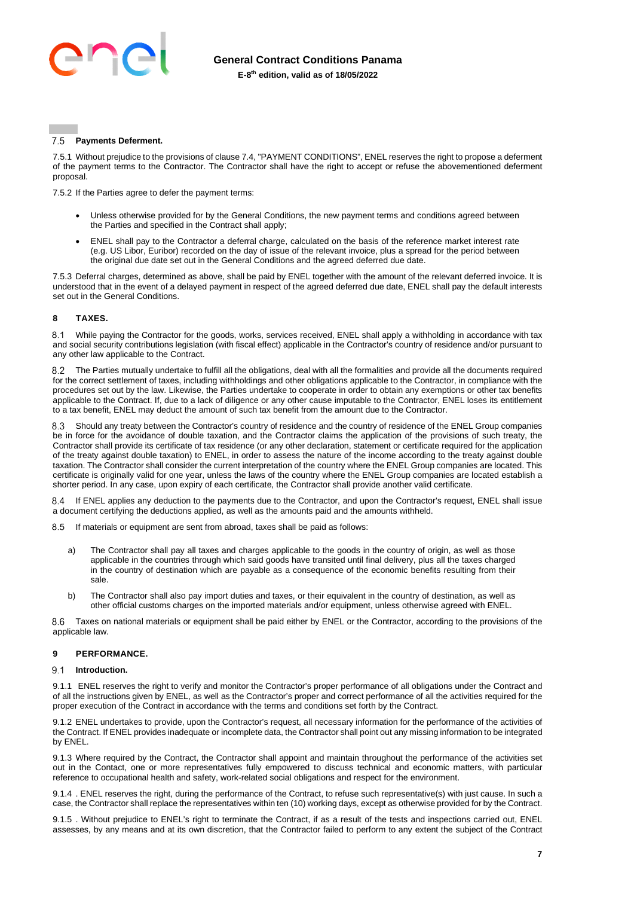

#### $75$ **Payments Deferment.**

7.5.1 Without prejudice to the provisions of clause 7.4, "PAYMENT CONDITIONS", ENEL reserves the right to propose a deferment of the payment terms to the Contractor. The Contractor shall have the right to accept or refuse the abovementioned deferment proposal.

7.5.2 If the Parties agree to defer the payment terms:

- Unless otherwise provided for by the General Conditions, the new payment terms and conditions agreed between the Parties and specified in the Contract shall apply;
- ENEL shall pay to the Contractor a deferral charge, calculated on the basis of the reference market interest rate (e.g. US Libor, Euribor) recorded on the day of issue of the relevant invoice, plus a spread for the period between the original due date set out in the General Conditions and the agreed deferred due date.

7.5.3 Deferral charges, determined as above, shall be paid by ENEL together with the amount of the relevant deferred invoice. It is understood that in the event of a delayed payment in respect of the agreed deferred due date, ENEL shall pay the default interests set out in the General Conditions.

# <span id="page-6-0"></span>**8 TAXES.**

 While paying the Contractor for the goods, works, services received, ENEL shall apply a withholding in accordance with tax and social security contributions legislation (with fiscal effect) applicable in the Contractor's country of residence and/or pursuant to any other law applicable to the Contract.

 The Parties mutually undertake to fulfill all the obligations, deal with all the formalities and provide all the documents required for the correct settlement of taxes, including withholdings and other obligations applicable to the Contractor, in compliance with the procedures set out by the law. Likewise, the Parties undertake to cooperate in order to obtain any exemptions or other tax benefits applicable to the Contract. If, due to a lack of diligence or any other cause imputable to the Contractor, ENEL loses its entitlement to a tax benefit, ENEL may deduct the amount of such tax benefit from the amount due to the Contractor.

 Should any treaty between the Contractor's country of residence and the country of residence of the ENEL Group companies be in force for the avoidance of double taxation, and the Contractor claims the application of the provisions of such treaty, the Contractor shall provide its certificate of tax residence (or any other declaration, statement or certificate required for the application of the treaty against double taxation) to ENEL, in order to assess the nature of the income according to the treaty against double taxation. The Contractor shall consider the current interpretation of the country where the ENEL Group companies are located. This certificate is originally valid for one year, unless the laws of the country where the ENEL Group companies are located establish a shorter period. In any case, upon expiry of each certificate, the Contractor shall provide another valid certificate.

8.4 If ENEL applies any deduction to the payments due to the Contractor, and upon the Contractor's request, ENEL shall issue a document certifying the deductions applied, as well as the amounts paid and the amounts withheld.

8.5 If materials or equipment are sent from abroad, taxes shall be paid as follows:

- a) The Contractor shall pay all taxes and charges applicable to the goods in the country of origin, as well as those applicable in the countries through which said goods have transited until final delivery, plus all the taxes charged in the country of destination which are payable as a consequence of the economic benefits resulting from their sale.
- b) The Contractor shall also pay import duties and taxes, or their equivalent in the country of destination, as well as other official customs charges on the imported materials and/or equipment, unless otherwise agreed with ENEL.

 Taxes on national materials or equipment shall be paid either by ENEL or the Contractor, according to the provisions of the applicable law.

# <span id="page-6-1"></span>**9 PERFORMANCE.**

#### 91 **Introduction.**

9.1.1 ENEL reserves the right to verify and monitor the Contractor's proper performance of all obligations under the Contract and of all the instructions given by ENEL, as well as the Contractor's proper and correct performance of all the activities required for the proper execution of the Contract in accordance with the terms and conditions set forth by the Contract.

9.1.2 ENEL undertakes to provide, upon the Contractor's request, all necessary information for the performance of the activities of the Contract. If ENEL provides inadequate or incomplete data, the Contractor shall point out any missing information to be integrated by ENEL.

9.1.3 Where required by the Contract, the Contractor shall appoint and maintain throughout the performance of the activities set out in the Contact, one or more representatives fully empowered to discuss technical and economic matters, with particular reference to occupational health and safety, work-related social obligations and respect for the environment.

9.1.4 . ENEL reserves the right, during the performance of the Contract, to refuse such representative(s) with just cause. In such a case, the Contractor shall replace the representatives within ten (10) working days, except as otherwise provided for by the Contract.

9.1.5 . Without prejudice to ENEL's right to terminate the Contract, if as a result of the tests and inspections carried out, ENEL assesses, by any means and at its own discretion, that the Contractor failed to perform to any extent the subject of the Contract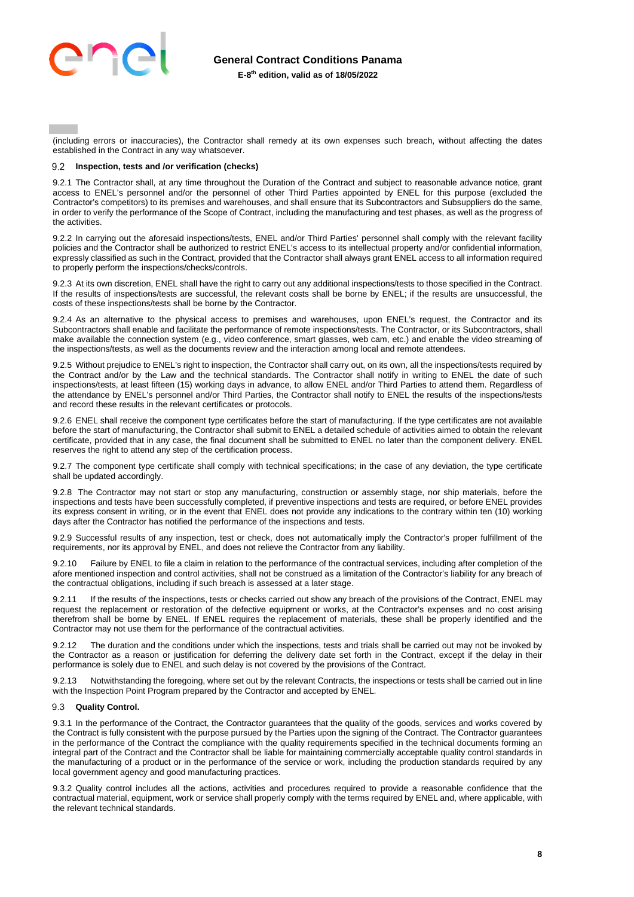

(including errors or inaccuracies), the Contractor shall remedy at its own expenses such breach, without affecting the dates established in the Contract in any way whatsoever.

#### $9.2$ **Inspection, tests and /or verification (checks)**

9.2.1 The Contractor shall, at any time throughout the Duration of the Contract and subject to reasonable advance notice, grant access to ENEL's personnel and/or the personnel of other Third Parties appointed by ENEL for this purpose (excluded the Contractor's competitors) to its premises and warehouses, and shall ensure that its Subcontractors and Subsuppliers do the same, in order to verify the performance of the Scope of Contract, including the manufacturing and test phases, as well as the progress of the activities.

9.2.2 In carrying out the aforesaid inspections/tests, ENEL and/or Third Parties' personnel shall comply with the relevant facility policies and the Contractor shall be authorized to restrict ENEL's access to its intellectual property and/or confidential information, expressly classified as such in the Contract, provided that the Contractor shall always grant ENEL access to all information required to properly perform the inspections/checks/controls.

9.2.3 At its own discretion, ENEL shall have the right to carry out any additional inspections/tests to those specified in the Contract. If the results of inspections/tests are successful, the relevant costs shall be borne by ENEL; if the results are unsuccessful, the costs of these inspections/tests shall be borne by the Contractor.

9.2.4 As an alternative to the physical access to premises and warehouses, upon ENEL's request, the Contractor and its Subcontractors shall enable and facilitate the performance of remote inspections/tests. The Contractor, or its Subcontractors, shall make available the connection system (e.g., video conference, smart glasses, web cam, etc.) and enable the video streaming of the inspections/tests, as well as the documents review and the interaction among local and remote attendees.

9.2.5 Without prejudice to ENEL's right to inspection, the Contractor shall carry out, on its own, all the inspections/tests required by the Contract and/or by the Law and the technical standards. The Contractor shall notify in writing to ENEL the date of such inspections/tests, at least fifteen (15) working days in advance, to allow ENEL and/or Third Parties to attend them. Regardless of the attendance by ENEL's personnel and/or Third Parties, the Contractor shall notify to ENEL the results of the inspections/tests and record these results in the relevant certificates or protocols.

9.2.6 ENEL shall receive the component type certificates before the start of manufacturing. If the type certificates are not available before the start of manufacturing, the Contractor shall submit to ENEL a detailed schedule of activities aimed to obtain the relevant certificate, provided that in any case, the final document shall be submitted to ENEL no later than the component delivery. ENEL reserves the right to attend any step of the certification process.

9.2.7 The component type certificate shall comply with technical specifications; in the case of any deviation, the type certificate shall be updated accordingly.

9.2.8 The Contractor may not start or stop any manufacturing, construction or assembly stage, nor ship materials, before the inspections and tests have been successfully completed, if preventive inspections and tests are required, or before ENEL provides its express consent in writing, or in the event that ENEL does not provide any indications to the contrary within ten (10) working days after the Contractor has notified the performance of the inspections and tests.

9.2.9 Successful results of any inspection, test or check, does not automatically imply the Contractor's proper fulfillment of the requirements, nor its approval by ENEL, and does not relieve the Contractor from any liability.

9.2.10 Failure by ENEL to file a claim in relation to the performance of the contractual services, including after completion of the afore mentioned inspection and control activities, shall not be construed as a limitation of the Contractor's liability for any breach of the contractual obligations, including if such breach is assessed at a later stage.

9.2.11 If the results of the inspections, tests or checks carried out show any breach of the provisions of the Contract, ENEL may request the replacement or restoration of the defective equipment or works, at the Contractor's expenses and no cost arising therefrom shall be borne by ENEL. If ENEL requires the replacement of materials, these shall be properly identified and the Contractor may not use them for the performance of the contractual activities.

The duration and the conditions under which the inspections, tests and trials shall be carried out may not be invoked by the Contractor as a reason or justification for deferring the delivery date set forth in the Contract, except if the delay in their performance is solely due to ENEL and such delay is not covered by the provisions of the Contract.

9.2.13 Notwithstanding the foregoing, where set out by the relevant Contracts, the inspections or tests shall be carried out in line with the Inspection Point Program prepared by the Contractor and accepted by ENEL.

#### **Quality Control.**

9.3.1 In the performance of the Contract, the Contractor guarantees that the quality of the goods, services and works covered by the Contract is fully consistent with the purpose pursued by the Parties upon the signing of the Contract. The Contractor guarantees in the performance of the Contract the compliance with the quality requirements specified in the technical documents forming an integral part of the Contract and the Contractor shall be liable for maintaining commercially acceptable quality control standards in the manufacturing of a product or in the performance of the service or work, including the production standards required by any local government agency and good manufacturing practices.

9.3.2 Quality control includes all the actions, activities and procedures required to provide a reasonable confidence that the contractual material, equipment, work or service shall properly comply with the terms required by ENEL and, where applicable, with the relevant technical standards.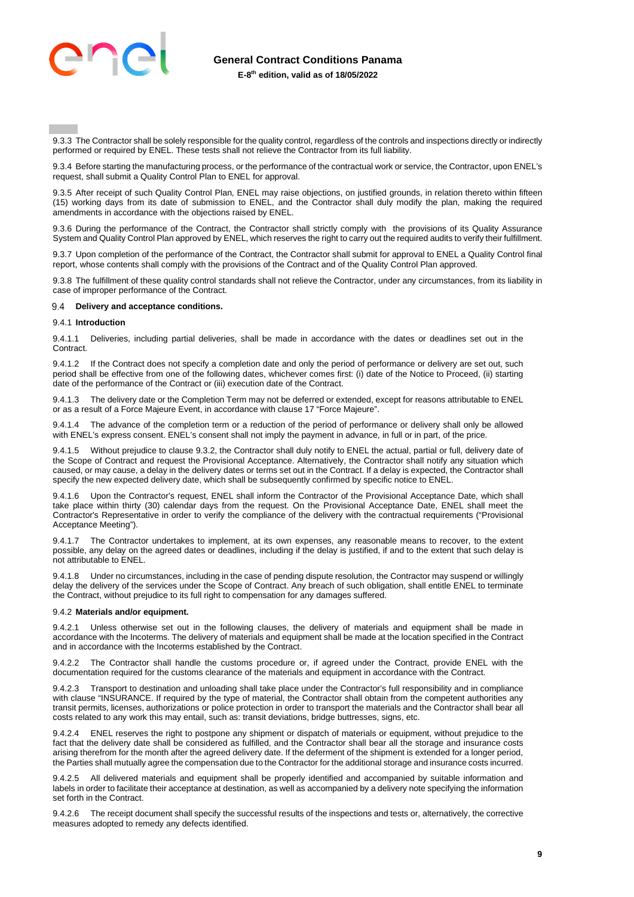

9.3.3 The Contractor shall be solely responsible for the quality control, regardless of the controls and inspections directly or indirectly performed or required by ENEL. These tests shall not relieve the Contractor from its full liability.

9.3.4 Before starting the manufacturing process, or the performance of the contractual work or service, the Contractor, upon ENEL's request, shall submit a Quality Control Plan to ENEL for approval.

9.3.5 After receipt of such Quality Control Plan, ENEL may raise objections, on justified grounds, in relation thereto within fifteen (15) working days from its date of submission to ENEL, and the Contractor shall duly modify the plan, making the required amendments in accordance with the objections raised by ENEL.

9.3.6 During the performance of the Contract, the Contractor shall strictly comply with the provisions of its Quality Assurance System and Quality Control Plan approved by ENEL, which reserves the right to carry out the required audits to verify their fulfillment.

9.3.7 Upon completion of the performance of the Contract, the Contractor shall submit for approval to ENEL a Quality Control final report, whose contents shall comply with the provisions of the Contract and of the Quality Control Plan approved.

9.3.8 The fulfillment of these quality control standards shall not relieve the Contractor, under any circumstances, from its liability in case of improper performance of the Contract.

#### **Delivery and acceptance conditions.**

#### 9.4.1 **Introduction**

9.4.1.1 Deliveries, including partial deliveries, shall be made in accordance with the dates or deadlines set out in the Contract.

If the Contract does not specify a completion date and only the period of performance or delivery are set out, such period shall be effective from one of the following dates, whichever comes first: (i) date of the Notice to Proceed, (ii) starting date of the performance of the Contract or (iii) execution date of the Contract.

9.4.1.3 The delivery date or the Completion Term may not be deferred or extended, except for reasons attributable to ENEL or as a result of a Force Majeure Event, in accordance with clause 17 "Force Majeure".

9.4.1.4 The advance of the completion term or a reduction of the period of performance or delivery shall only be allowed with ENEL's express consent. ENEL's consent shall not imply the payment in advance, in full or in part, of the price.

9.4.1.5 Without prejudice to clause 9.3.2, the Contractor shall duly notify to ENEL the actual, partial or full, delivery date of the Scope of Contract and request the Provisional Acceptance. Alternatively, the Contractor shall notify any situation which caused, or may cause, a delay in the delivery dates or terms set out in the Contract. If a delay is expected, the Contractor shall specify the new expected delivery date, which shall be subsequently confirmed by specific notice to ENEL.

Upon the Contractor's request, ENEL shall inform the Contractor of the Provisional Acceptance Date, which shall take place within thirty (30) calendar days from the request. On the Provisional Acceptance Date, ENEL shall meet the Contractor's Representative in order to verify the compliance of the delivery with the contractual requirements ("Provisional Acceptance Meeting").

9.4.1.7 The Contractor undertakes to implement, at its own expenses, any reasonable means to recover, to the extent possible, any delay on the agreed dates or deadlines, including if the delay is justified, if and to the extent that such delay is not attributable to ENEL.

9.4.1.8 Under no circumstances, including in the case of pending dispute resolution, the Contractor may suspend or willingly delay the delivery of the services under the Scope of Contract. Any breach of such obligation, shall entitle ENEL to terminate the Contract, without prejudice to its full right to compensation for any damages suffered.

#### 9.4.2 **Materials and/or equipment.**

Unless otherwise set out in the following clauses, the delivery of materials and equipment shall be made in accordance with the Incoterms. The delivery of materials and equipment shall be made at the location specified in the Contract and in accordance with the Incoterms established by the Contract.

The Contractor shall handle the customs procedure or, if agreed under the Contract, provide ENEL with the documentation required for the customs clearance of the materials and equipment in accordance with the Contract.

9.4.2.3 Transport to destination and unloading shall take place under the Contractor's full responsibility and in compliance with clause "INSURANCE. If required by the type of material, the Contractor shall obtain from the competent authorities any transit permits, licenses, authorizations or police protection in order to transport the materials and the Contractor shall bear all costs related to any work this may entail, such as: transit deviations, bridge buttresses, signs, etc.

9.4.2.4 ENEL reserves the right to postpone any shipment or dispatch of materials or equipment, without prejudice to the fact that the delivery date shall be considered as fulfilled, and the Contractor shall bear all the storage and insurance costs arising therefrom for the month after the agreed delivery date. If the deferment of the shipment is extended for a longer period, the Parties shall mutually agree the compensation due to the Contractor for the additional storage and insurance costs incurred.

9.4.2.5 All delivered materials and equipment shall be properly identified and accompanied by suitable information and labels in order to facilitate their acceptance at destination, as well as accompanied by a delivery note specifying the information set forth in the Contract.

9.4.2.6 The receipt document shall specify the successful results of the inspections and tests or, alternatively, the corrective measures adopted to remedy any defects identified.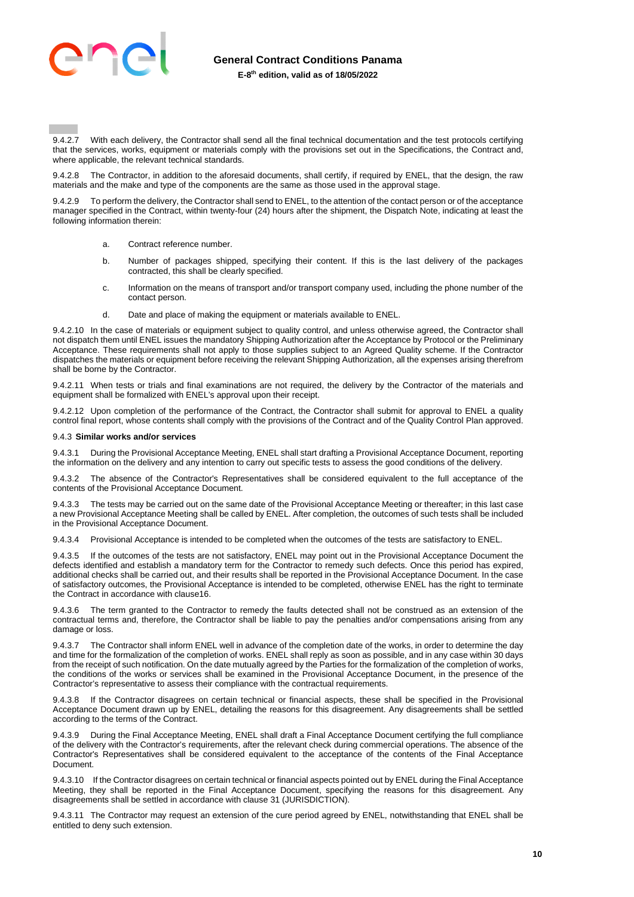

# **General Contract Conditions Panama**

**E-8th edition, valid as of 18/05/2022**

9.4.2.7 With each delivery, the Contractor shall send all the final technical documentation and the test protocols certifying that the services, works, equipment or materials comply with the provisions set out in the Specifications, the Contract and, where applicable, the relevant technical standards.

9.4.2.8 The Contractor, in addition to the aforesaid documents, shall certify, if required by ENEL, that the design, the raw materials and the make and type of the components are the same as those used in the approval stage.

9.4.2.9 To perform the delivery, the Contractor shall send to ENEL, to the attention of the contact person or of the acceptance manager specified in the Contract, within twenty-four (24) hours after the shipment, the Dispatch Note, indicating at least the following information therein:

- a. Contract reference number.
- b. Number of packages shipped, specifying their content. If this is the last delivery of the packages contracted, this shall be clearly specified.
- c. Information on the means of transport and/or transport company used, including the phone number of the contact person.
- d. Date and place of making the equipment or materials available to ENEL.

9.4.2.10 In the case of materials or equipment subject to quality control, and unless otherwise agreed, the Contractor shall not dispatch them until ENEL issues the mandatory Shipping Authorization after the Acceptance by Protocol or the Preliminary Acceptance. These requirements shall not apply to those supplies subject to an Agreed Quality scheme. If the Contractor dispatches the materials or equipment before receiving the relevant Shipping Authorization, all the expenses arising therefrom shall be borne by the Contractor.

9.4.2.11 When tests or trials and final examinations are not required, the delivery by the Contractor of the materials and equipment shall be formalized with ENEL's approval upon their receipt.

9.4.2.12 Upon completion of the performance of the Contract, the Contractor shall submit for approval to ENEL a quality control final report, whose contents shall comply with the provisions of the Contract and of the Quality Control Plan approved.

#### 9.4.3 **Similar works and/or services**

9.4.3.1 During the Provisional Acceptance Meeting, ENEL shall start drafting a Provisional Acceptance Document, reporting the information on the delivery and any intention to carry out specific tests to assess the good conditions of the delivery.

9.4.3.2 The absence of the Contractor's Representatives shall be considered equivalent to the full acceptance of the contents of the Provisional Acceptance Document.

9.4.3.3 The tests may be carried out on the same date of the Provisional Acceptance Meeting or thereafter; in this last case a new Provisional Acceptance Meeting shall be called by ENEL. After completion, the outcomes of such tests shall be included in the Provisional Acceptance Document.

9.4.3.4 Provisional Acceptance is intended to be completed when the outcomes of the tests are satisfactory to ENEL.

9.4.3.5 If the outcomes of the tests are not satisfactory, ENEL may point out in the Provisional Acceptance Document the defects identified and establish a mandatory term for the Contractor to remedy such defects. Once this period has expired, additional checks shall be carried out, and their results shall be reported in the Provisional Acceptance Document. In the case of satisfactory outcomes, the Provisional Acceptance is intended to be completed, otherwise ENEL has the right to terminate the Contract in accordance with claus[e16.](#page-15-0)

9.4.3.6 The term granted to the Contractor to remedy the faults detected shall not be construed as an extension of the contractual terms and, therefore, the Contractor shall be liable to pay the penalties and/or compensations arising from any damage or loss.

9.4.3.7 The Contractor shall inform ENEL well in advance of the completion date of the works, in order to determine the day and time for the formalization of the completion of works. ENEL shall reply as soon as possible, and in any case within 30 days from the receipt of such notification. On the date mutually agreed by the Parties for the formalization of the completion of works, the conditions of the works or services shall be examined in the Provisional Acceptance Document, in the presence of the Contractor's representative to assess their compliance with the contractual requirements.

9.4.3.8 If the Contractor disagrees on certain technical or financial aspects, these shall be specified in the Provisional Acceptance Document drawn up by ENEL, detailing the reasons for this disagreement. Any disagreements shall be settled according to the terms of the Contract.

During the Final Acceptance Meeting, ENEL shall draft a Final Acceptance Document certifying the full compliance of the delivery with the Contractor's requirements, after the relevant check during commercial operations. The absence of the Contractor's Representatives shall be considered equivalent to the acceptance of the contents of the Final Acceptance Document.

9.4.3.10 If the Contractor disagrees on certain technical or financial aspects pointed out by ENEL during the Final Acceptance Meeting, they shall be reported in the Final Acceptance Document, specifying the reasons for this disagreement. Any disagreements shall be settled in accordance with clause 31 (JURISDICTION).

9.4.3.11 The Contractor may request an extension of the cure period agreed by ENEL, notwithstanding that ENEL shall be entitled to deny such extension.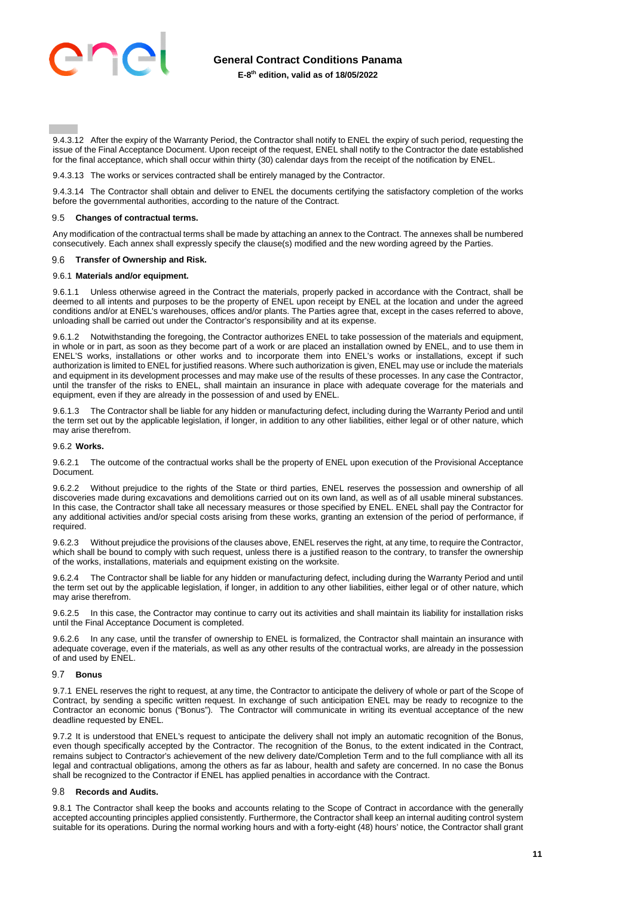

9.4.3.12 After the expiry of the Warranty Period, the Contractor shall notify to ENEL the expiry of such period, requesting the issue of the Final Acceptance Document. Upon receipt of the request, ENEL shall notify to the Contractor the date established for the final acceptance, which shall occur within thirty (30) calendar days from the receipt of the notification by ENEL.

9.4.3.13 The works or services contracted shall be entirely managed by the Contractor.

9.4.3.14 The Contractor shall obtain and deliver to ENEL the documents certifying the satisfactory completion of the works before the governmental authorities, according to the nature of the Contract.

#### <span id="page-10-0"></span>9.5 **Changes of contractual terms.**

Any modification of the contractual terms shall be made by attaching an annex to the Contract. The annexes shall be numbered consecutively. Each annex shall expressly specify the clause(s) modified and the new wording agreed by the Parties.

#### 9.6 **Transfer of Ownership and Risk.**

#### 9.6.1 **Materials and/or equipment.**

9.6.1.1 Unless otherwise agreed in the Contract the materials, properly packed in accordance with the Contract, shall be deemed to all intents and purposes to be the property of ENEL upon receipt by ENEL at the location and under the agreed conditions and/or at ENEL's warehouses, offices and/or plants. The Parties agree that, except in the cases referred to above, unloading shall be carried out under the Contractor's responsibility and at its expense.

9.6.1.2 Notwithstanding the foregoing, the Contractor authorizes ENEL to take possession of the materials and equipment, in whole or in part, as soon as they become part of a work or are placed an installation owned by ENEL, and to use them in ENEL'S works, installations or other works and to incorporate them into ENEL's works or installations, except if such authorization is limited to ENEL for justified reasons. Where such authorization is given, ENEL may use or include the materials and equipment in its development processes and may make use of the results of these processes. In any case the Contractor, until the transfer of the risks to ENEL, shall maintain an insurance in place with adequate coverage for the materials and equipment, even if they are already in the possession of and used by ENEL.

9.6.1.3 The Contractor shall be liable for any hidden or manufacturing defect, including during the Warranty Period and until the term set out by the applicable legislation, if longer, in addition to any other liabilities, either legal or of other nature, which may arise therefrom.

#### 9.6.2 **Works.**

9.6.2.1 The outcome of the contractual works shall be the property of ENEL upon execution of the Provisional Acceptance Document.

9.6.2.2 Without prejudice to the rights of the State or third parties, ENEL reserves the possession and ownership of all discoveries made during excavations and demolitions carried out on its own land, as well as of all usable mineral substances. In this case, the Contractor shall take all necessary measures or those specified by ENEL. ENEL shall pay the Contractor for any additional activities and/or special costs arising from these works, granting an extension of the period of performance, if required.

9.6.2.3 Without prejudice the provisions of the clauses above, ENEL reserves the right, at any time, to require the Contractor, which shall be bound to comply with such request, unless there is a justified reason to the contrary, to transfer the ownership of the works, installations, materials and equipment existing on the worksite.

9.6.2.4 The Contractor shall be liable for any hidden or manufacturing defect, including during the Warranty Period and until the term set out by the applicable legislation, if longer, in addition to any other liabilities, either legal or of other nature, which may arise therefrom.

9.6.2.5 In this case, the Contractor may continue to carry out its activities and shall maintain its liability for installation risks until the Final Acceptance Document is completed.

In any case, until the transfer of ownership to ENEL is formalized, the Contractor shall maintain an insurance with adequate coverage, even if the materials, as well as any other results of the contractual works, are already in the possession of and used by ENEL.

# **Bonus**

9.7.1 ENEL reserves the right to request, at any time, the Contractor to anticipate the delivery of whole or part of the Scope of Contract, by sending a specific written request. In exchange of such anticipation ENEL may be ready to recognize to the Contractor an economic bonus ("Bonus"). The Contractor will communicate in writing its eventual acceptance of the new deadline requested by ENEL.

9.7.2 It is understood that ENEL's request to anticipate the delivery shall not imply an automatic recognition of the Bonus, even though specifically accepted by the Contractor. The recognition of the Bonus, to the extent indicated in the Contract, remains subject to Contractor's achievement of the new delivery date/Completion Term and to the full compliance with all its legal and contractual obligations, among the others as far as labour, health and safety are concerned. In no case the Bonus shall be recognized to the Contractor if ENEL has applied penalties in accordance with the Contract.

#### **Records and Audits.**

9.8.1 The Contractor shall keep the books and accounts relating to the Scope of Contract in accordance with the generally accepted accounting principles applied consistently. Furthermore, the Contractor shall keep an internal auditing control system suitable for its operations. During the normal working hours and with a forty-eight (48) hours' notice, the Contractor shall grant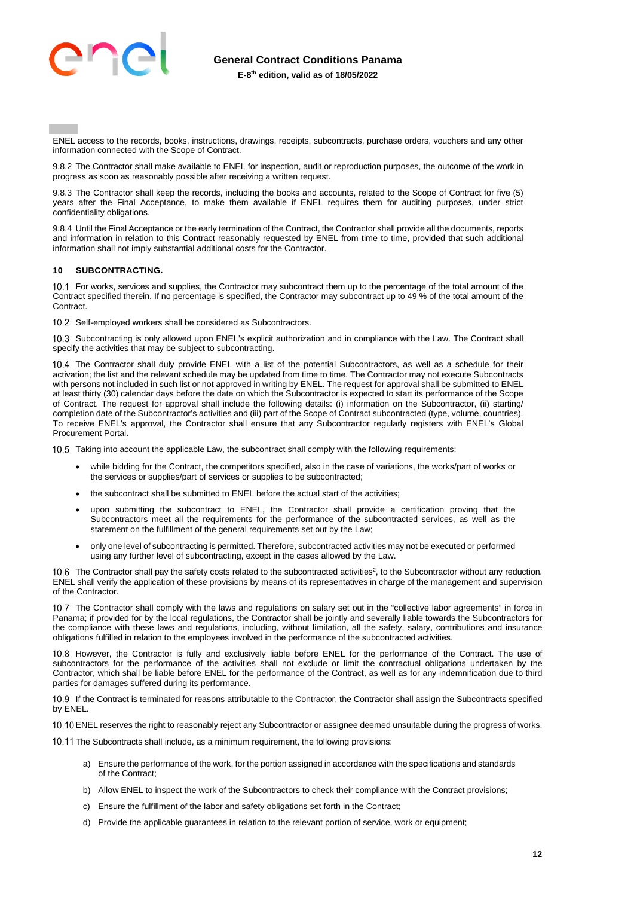

ENEL access to the records, books, instructions, drawings, receipts, subcontracts, purchase orders, vouchers and any other information connected with the Scope of Contract.

9.8.2 The Contractor shall make available to ENEL for inspection, audit or reproduction purposes, the outcome of the work in progress as soon as reasonably possible after receiving a written request.

9.8.3 The Contractor shall keep the records, including the books and accounts, related to the Scope of Contract for five (5) years after the Final Acceptance, to make them available if ENEL requires them for auditing purposes, under strict confidentiality obligations.

9.8.4 Until the Final Acceptance or the early termination of the Contract, the Contractor shall provide all the documents, reports and information in relation to this Contract reasonably requested by ENEL from time to time, provided that such additional information shall not imply substantial additional costs for the Contractor.

# <span id="page-11-0"></span>**10 SUBCONTRACTING.**

10.1 For works, services and supplies, the Contractor may subcontract them up to the percentage of the total amount of the Contract specified therein. If no percentage is specified, the Contractor may subcontract up to 49 % of the total amount of the Contract.

10.2 Self-employed workers shall be considered as Subcontractors.

10.3 Subcontracting is only allowed upon ENEL's explicit authorization and in compliance with the Law. The Contract shall specify the activities that may be subject to subcontracting.

10.4 The Contractor shall duly provide ENEL with a list of the potential Subcontractors, as well as a schedule for their activation; the list and the relevant schedule may be updated from time to time. The Contractor may not execute Subcontracts with persons not included in such list or not approved in writing by ENEL. The request for approval shall be submitted to ENEL at least thirty (30) calendar days before the date on which the Subcontractor is expected to start its performance of the Scope of Contract. The request for approval shall include the following details: (i) information on the Subcontractor, (ii) starting/ completion date of the Subcontractor's activities and (iii) part of the Scope of Contract subcontracted (type, volume, countries). To receive ENEL's approval, the Contractor shall ensure that any Subcontractor regularly registers with ENEL's Global Procurement Portal.

10.5 Taking into account the applicable Law, the subcontract shall comply with the following requirements:

- while bidding for the Contract, the competitors specified, also in the case of variations, the works/part of works or the services or supplies/part of services or supplies to be subcontracted;
- the subcontract shall be submitted to ENEL before the actual start of the activities;
- upon submitting the subcontract to ENEL, the Contractor shall provide a certification proving that the Subcontractors meet all the requirements for the performance of the subcontracted services, as well as the statement on the fulfillment of the general requirements set out by the Law;
- only one level of subcontracting is permitted. Therefore, subcontracted activities may not be executed or performed using any further level of subcontracting, except in the cases allowed by the Law.

The Contractor shall pay the safety costs related to the subcontracted activities<sup>2</sup>, to the Subcontractor without any reduction. ENEL shall verify the application of these provisions by means of its representatives in charge of the management and supervision of the Contractor.

10.7 The Contractor shall comply with the laws and regulations on salary set out in the "collective labor agreements" in force in Panama; if provided for by the local regulations, the Contractor shall be jointly and severally liable towards the Subcontractors for the compliance with these laws and regulations, including, without limitation, all the safety, salary, contributions and insurance obligations fulfilled in relation to the employees involved in the performance of the subcontracted activities.

10.8 However, the Contractor is fully and exclusively liable before ENEL for the performance of the Contract. The use of subcontractors for the performance of the activities shall not exclude or limit the contractual obligations undertaken by the Contractor, which shall be liable before ENEL for the performance of the Contract, as well as for any indemnification due to third parties for damages suffered during its performance.

 If the Contract is terminated for reasons attributable to the Contractor, the Contractor shall assign the Subcontracts specified by ENEL.

10.10 ENEL reserves the right to reasonably reject any Subcontractor or assignee deemed unsuitable during the progress of works.

10.11 The Subcontracts shall include, as a minimum requirement, the following provisions:

- a) Ensure the performance of the work, for the portion assigned in accordance with the specifications and standards of the Contract;
- b) Allow ENEL to inspect the work of the Subcontractors to check their compliance with the Contract provisions;
- c) Ensure the fulfillment of the labor and safety obligations set forth in the Contract;
- d) Provide the applicable guarantees in relation to the relevant portion of service, work or equipment;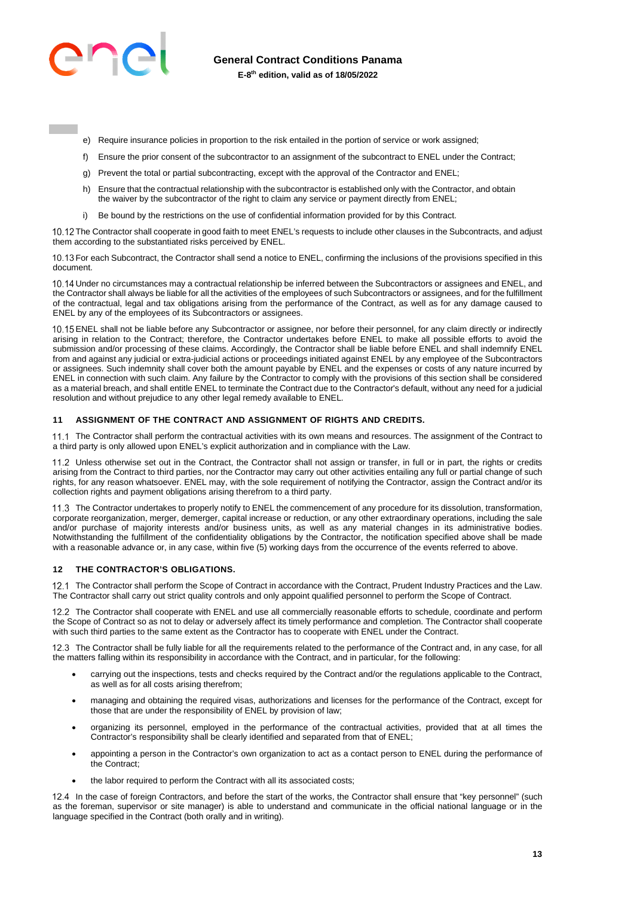

**General Contract Conditions Panama** 

**E-8th edition, valid as of 18/05/2022**

- e) Require insurance policies in proportion to the risk entailed in the portion of service or work assigned;
- f) Ensure the prior consent of the subcontractor to an assignment of the subcontract to ENEL under the Contract;
- g) Prevent the total or partial subcontracting, except with the approval of the Contractor and ENEL;
- h) Ensure that the contractual relationship with the subcontractor is established only with the Contractor, and obtain the waiver by the subcontractor of the right to claim any service or payment directly from ENEL;
- i) Be bound by the restrictions on the use of confidential information provided for by this Contract.

10.12 The Contractor shall cooperate in good faith to meet ENEL's requests to include other clauses in the Subcontracts, and adjust them according to the substantiated risks perceived by ENEL.

 For each Subcontract, the Contractor shall send a notice to ENEL, confirming the inclusions of the provisions specified in this document.

10.14 Under no circumstances may a contractual relationship be inferred between the Subcontractors or assignees and ENEL, and the Contractor shall always be liable for all the activities of the employees of such Subcontractors or assignees, and for the fulfillment of the contractual, legal and tax obligations arising from the performance of the Contract, as well as for any damage caused to ENEL by any of the employees of its Subcontractors or assignees.

10.15 ENEL shall not be liable before any Subcontractor or assignee, nor before their personnel, for any claim directly or indirectly arising in relation to the Contract; therefore, the Contractor undertakes before ENEL to make all possible efforts to avoid the submission and/or processing of these claims. Accordingly, the Contractor shall be liable before ENEL and shall indemnify ENEL from and against any judicial or extra-judicial actions or proceedings initiated against ENEL by any employee of the Subcontractors or assignees. Such indemnity shall cover both the amount payable by ENEL and the expenses or costs of any nature incurred by ENEL in connection with such claim. Any failure by the Contractor to comply with the provisions of this section shall be considered as a material breach, and shall entitle ENEL to terminate the Contract due to the Contractor's default, without any need for a judicial resolution and without prejudice to any other legal remedy available to ENEL.

#### <span id="page-12-0"></span>**11 ASSIGNMENT OF THE CONTRACT AND ASSIGNMENT OF RIGHTS AND CREDITS.**

11.1 The Contractor shall perform the contractual activities with its own means and resources. The assignment of the Contract to a third party is only allowed upon ENEL's explicit authorization and in compliance with the Law.

11.2 Unless otherwise set out in the Contract, the Contractor shall not assign or transfer, in full or in part, the rights or credits arising from the Contract to third parties, nor the Contractor may carry out other activities entailing any full or partial change of such rights, for any reason whatsoever. ENEL may, with the sole requirement of notifying the Contractor, assign the Contract and/or its collection rights and payment obligations arising therefrom to a third party.

11.3 The Contractor undertakes to properly notify to ENEL the commencement of any procedure for its dissolution, transformation, corporate reorganization, merger, demerger, capital increase or reduction, or any other extraordinary operations, including the sale and/or purchase of majority interests and/or business units, as well as any material changes in its administrative bodies. Notwithstanding the fulfillment of the confidentiality obligations by the Contractor, the notification specified above shall be made with a reasonable advance or, in any case, within five (5) working days from the occurrence of the events referred to above.

#### <span id="page-12-1"></span>**12 THE CONTRACTOR'S OBLIGATIONS.**

12.1 The Contractor shall perform the Scope of Contract in accordance with the Contract, Prudent Industry Practices and the Law. The Contractor shall carry out strict quality controls and only appoint qualified personnel to perform the Scope of Contract.

12.2 The Contractor shall cooperate with ENEL and use all commercially reasonable efforts to schedule, coordinate and perform the Scope of Contract so as not to delay or adversely affect its timely performance and completion. The Contractor shall cooperate with such third parties to the same extent as the Contractor has to cooperate with ENEL under the Contract.

12.3 The Contractor shall be fully liable for all the requirements related to the performance of the Contract and, in any case, for all the matters falling within its responsibility in accordance with the Contract, and in particular, for the following:

- carrying out the inspections, tests and checks required by the Contract and/or the regulations applicable to the Contract, as well as for all costs arising therefrom;
- managing and obtaining the required visas, authorizations and licenses for the performance of the Contract, except for those that are under the responsibility of ENEL by provision of law;
- organizing its personnel, employed in the performance of the contractual activities, provided that at all times the Contractor's responsibility shall be clearly identified and separated from that of ENEL;
- appointing a person in the Contractor's own organization to act as a contact person to ENEL during the performance of the Contract;
- the labor required to perform the Contract with all its associated costs;

12.4 In the case of foreign Contractors, and before the start of the works, the Contractor shall ensure that "key personnel" (such as the foreman, supervisor or site manager) is able to understand and communicate in the official national language or in the language specified in the Contract (both orally and in writing).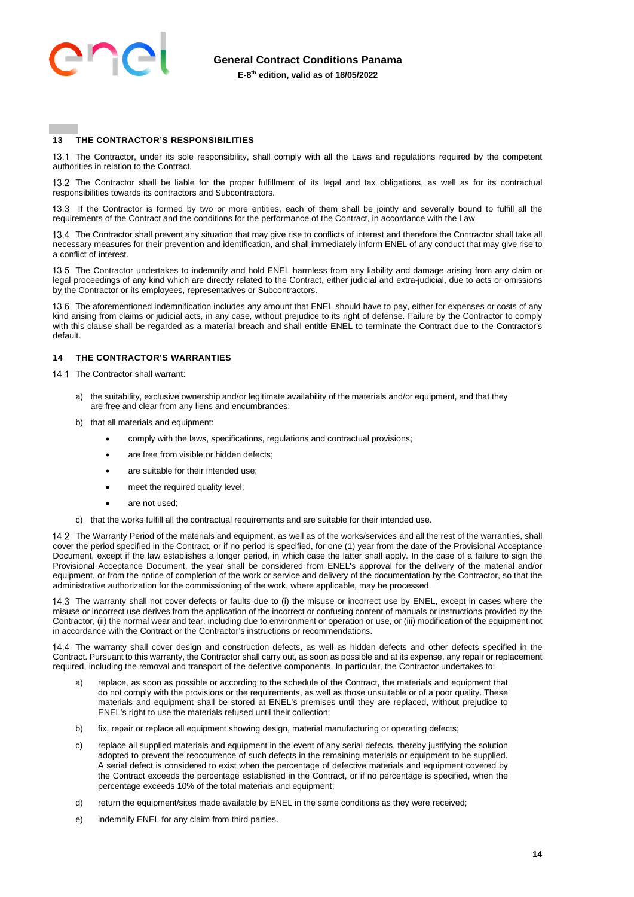

# <span id="page-13-0"></span>**13 THE CONTRACTOR'S RESPONSIBILITIES**

13.1 The Contractor, under its sole responsibility, shall comply with all the Laws and regulations required by the competent authorities in relation to the Contract.

13.2 The Contractor shall be liable for the proper fulfillment of its legal and tax obligations, as well as for its contractual responsibilities towards its contractors and Subcontractors.

13.3 If the Contractor is formed by two or more entities, each of them shall be jointly and severally bound to fulfill all the requirements of the Contract and the conditions for the performance of the Contract, in accordance with the Law.

 The Contractor shall prevent any situation that may give rise to conflicts of interest and therefore the Contractor shall take all necessary measures for their prevention and identification, and shall immediately inform ENEL of any conduct that may give rise to a conflict of interest.

13.5 The Contractor undertakes to indemnify and hold ENEL harmless from any liability and damage arising from any claim or legal proceedings of any kind which are directly related to the Contract, either judicial and extra-judicial, due to acts or omissions by the Contractor or its employees, representatives or Subcontractors.

13.6 The aforementioned indemnification includes any amount that ENEL should have to pay, either for expenses or costs of any kind arising from claims or judicial acts, in any case, without prejudice to its right of defense. Failure by the Contractor to comply with this clause shall be regarded as a material breach and shall entitle ENEL to terminate the Contract due to the Contractor's default.

#### <span id="page-13-1"></span>**14 THE CONTRACTOR'S WARRANTIES**

- 14.1 The Contractor shall warrant:
	- a) the suitability, exclusive ownership and/or legitimate availability of the materials and/or equipment, and that they are free and clear from any liens and encumbrances;
	- b) that all materials and equipment:
		- comply with the laws, specifications, regulations and contractual provisions;
		- are free from visible or hidden defects;
		- are suitable for their intended use;
		- meet the required quality level:
		- are not used;
	- c) that the works fulfill all the contractual requirements and are suitable for their intended use.

14.2 The Warranty Period of the materials and equipment, as well as of the works/services and all the rest of the warranties, shall cover the period specified in the Contract, or if no period is specified, for one (1) year from the date of the Provisional Acceptance Document, except if the law establishes a longer period, in which case the latter shall apply. In the case of a failure to sign the Provisional Acceptance Document, the year shall be considered from ENEL's approval for the delivery of the material and/or equipment, or from the notice of completion of the work or service and delivery of the documentation by the Contractor, so that the administrative authorization for the commissioning of the work, where applicable, may be processed.

 The warranty shall not cover defects or faults due to (i) the misuse or incorrect use by ENEL, except in cases where the misuse or incorrect use derives from the application of the incorrect or confusing content of manuals or instructions provided by the Contractor, (ii) the normal wear and tear, including due to environment or operation or use, or (iii) modification of the equipment not in accordance with the Contract or the Contractor's instructions or recommendations.

14.4 The warranty shall cover design and construction defects, as well as hidden defects and other defects specified in the Contract. Pursuant to this warranty, the Contractor shall carry out, as soon as possible and at its expense, any repair or replacement required, including the removal and transport of the defective components. In particular, the Contractor undertakes to:

- a) replace, as soon as possible or according to the schedule of the Contract, the materials and equipment that do not comply with the provisions or the requirements, as well as those unsuitable or of a poor quality. These materials and equipment shall be stored at ENEL's premises until they are replaced, without prejudice to ENEL's right to use the materials refused until their collection;
- b) fix, repair or replace all equipment showing design, material manufacturing or operating defects;
- c) replace all supplied materials and equipment in the event of any serial defects, thereby justifying the solution adopted to prevent the reoccurrence of such defects in the remaining materials or equipment to be supplied. A serial defect is considered to exist when the percentage of defective materials and equipment covered by the Contract exceeds the percentage established in the Contract, or if no percentage is specified, when the percentage exceeds 10% of the total materials and equipment;
- d) return the equipment/sites made available by ENEL in the same conditions as they were received;
- e) indemnify ENEL for any claim from third parties.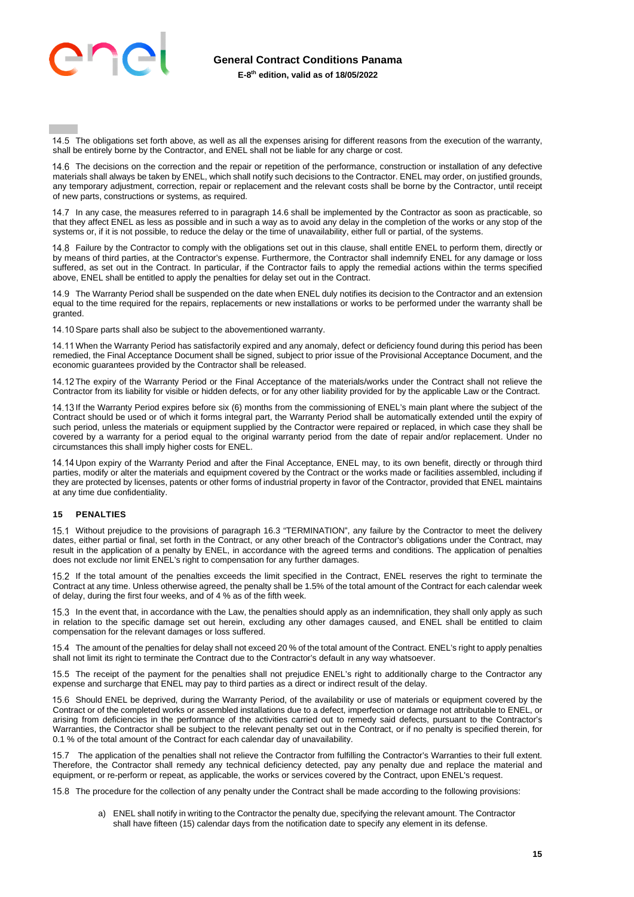

14.5 The obligations set forth above, as well as all the expenses arising for different reasons from the execution of the warranty, shall be entirely borne by the Contractor, and ENEL shall not be liable for any charge or cost.

 The decisions on the correction and the repair or repetition of the performance, construction or installation of any defective materials shall always be taken by ENEL, which shall notify such decisions to the Contractor. ENEL may order, on justified grounds, any temporary adjustment, correction, repair or replacement and the relevant costs shall be borne by the Contractor, until receipt of new parts, constructions or systems, as required.

14.7 In any case, the measures referred to in paragraph 14.6 shall be implemented by the Contractor as soon as practicable, so that they affect ENEL as less as possible and in such a way as to avoid any delay in the completion of the works or any stop of the systems or, if it is not possible, to reduce the delay or the time of unavailability, either full or partial, of the systems.

14.8 Failure by the Contractor to comply with the obligations set out in this clause, shall entitle ENEL to perform them, directly or by means of third parties, at the Contractor's expense. Furthermore, the Contractor shall indemnify ENEL for any damage or loss suffered, as set out in the Contract. In particular, if the Contractor fails to apply the remedial actions within the terms specified above, ENEL shall be entitled to apply the penalties for delay set out in the Contract.

 The Warranty Period shall be suspended on the date when ENEL duly notifies its decision to the Contractor and an extension equal to the time required for the repairs, replacements or new installations or works to be performed under the warranty shall be granted.

14.10 Spare parts shall also be subject to the abovementioned warranty.

14.11 When the Warranty Period has satisfactorily expired and any anomaly, defect or deficiency found during this period has been remedied, the Final Acceptance Document shall be signed, subject to prior issue of the Provisional Acceptance Document, and the economic guarantees provided by the Contractor shall be released.

14.12 The expiry of the Warranty Period or the Final Acceptance of the materials/works under the Contract shall not relieve the Contractor from its liability for visible or hidden defects, or for any other liability provided for by the applicable Law or the Contract.

14.13 If the Warranty Period expires before six (6) months from the commissioning of ENEL's main plant where the subject of the Contract should be used or of which it forms integral part, the Warranty Period shall be automatically extended until the expiry of such period, unless the materials or equipment supplied by the Contractor were repaired or replaced, in which case they shall be covered by a warranty for a period equal to the original warranty period from the date of repair and/or replacement. Under no circumstances this shall imply higher costs for ENEL.

14.14 Upon expiry of the Warranty Period and after the Final Acceptance, ENEL may, to its own benefit, directly or through third parties, modify or alter the materials and equipment covered by the Contract or the works made or facilities assembled, including if they are protected by licenses, patents or other forms of industrial property in favor of the Contractor, provided that ENEL maintains at any time due confidentiality.

#### <span id="page-14-0"></span>**15 PENALTIES**

15.1 Without prejudice to the provisions of paragraph 16.3 "TERMINATION", any failure by the Contractor to meet the delivery dates, either partial or final, set forth in the Contract, or any other breach of the Contractor's obligations under the Contract, may result in the application of a penalty by ENEL, in accordance with the agreed terms and conditions. The application of penalties does not exclude nor limit ENEL's right to compensation for any further damages.

 If the total amount of the penalties exceeds the limit specified in the Contract, ENEL reserves the right to terminate the Contract at any time. Unless otherwise agreed, the penalty shall be 1.5% of the total amount of the Contract for each calendar week of delay, during the first four weeks, and of 4 % as of the fifth week.

15.3 In the event that, in accordance with the Law, the penalties should apply as an indemnification, they shall only apply as such in relation to the specific damage set out herein, excluding any other damages caused, and ENEL shall be entitled to claim compensation for the relevant damages or loss suffered.

 The amount of the penalties for delay shall not exceed 20 % of the total amount of the Contract. ENEL's right to apply penalties shall not limit its right to terminate the Contract due to the Contractor's default in any way whatsoever.

15.5 The receipt of the payment for the penalties shall not prejudice ENEL's right to additionally charge to the Contractor any expense and surcharge that ENEL may pay to third parties as a direct or indirect result of the delay.

15.6 Should ENEL be deprived, during the Warranty Period, of the availability or use of materials or equipment covered by the Contract or of the completed works or assembled installations due to a defect, imperfection or damage not attributable to ENEL, or arising from deficiencies in the performance of the activities carried out to remedy said defects, pursuant to the Contractor's Warranties, the Contractor shall be subject to the relevant penalty set out in the Contract, or if no penalty is specified therein, for 0.1 % of the total amount of the Contract for each calendar day of unavailability.

15.7 The application of the penalties shall not relieve the Contractor from fulfilling the Contractor's Warranties to their full extent. Therefore, the Contractor shall remedy any technical deficiency detected, pay any penalty due and replace the material and equipment, or re-perform or repeat, as applicable, the works or services covered by the Contract, upon ENEL's request.

15.8 The procedure for the collection of any penalty under the Contract shall be made according to the following provisions:

a) ENEL shall notify in writing to the Contractor the penalty due, specifying the relevant amount. The Contractor shall have fifteen (15) calendar days from the notification date to specify any element in its defense.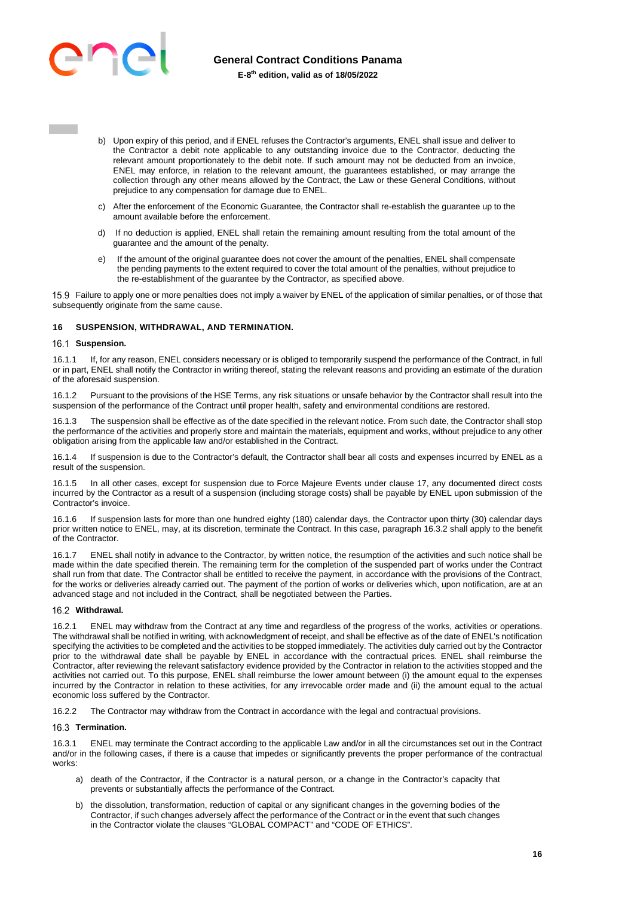

- b) Upon expiry of this period, and if ENEL refuses the Contractor's arguments, ENEL shall issue and deliver to the Contractor a debit note applicable to any outstanding invoice due to the Contractor, deducting the relevant amount proportionately to the debit note. If such amount may not be deducted from an invoice, ENEL may enforce, in relation to the relevant amount, the guarantees established, or may arrange the collection through any other means allowed by the Contract, the Law or these General Conditions, without prejudice to any compensation for damage due to ENEL.
- c) After the enforcement of the Economic Guarantee, the Contractor shall re-establish the guarantee up to the amount available before the enforcement.
- d) If no deduction is applied, ENEL shall retain the remaining amount resulting from the total amount of the guarantee and the amount of the penalty.
- e) If the amount of the original guarantee does not cover the amount of the penalties, ENEL shall compensate the pending payments to the extent required to cover the total amount of the penalties, without prejudice to the re-establishment of the guarantee by the Contractor, as specified above.

 Failure to apply one or more penalties does not imply a waiver by ENEL of the application of similar penalties, or of those that subsequently originate from the same cause.

# <span id="page-15-0"></span>**16 SUSPENSION, WITHDRAWAL, AND TERMINATION.**

# 16.1 Suspension.

16.1.1 If, for any reason, ENEL considers necessary or is obliged to temporarily suspend the performance of the Contract, in full or in part, ENEL shall notify the Contractor in writing thereof, stating the relevant reasons and providing an estimate of the duration of the aforesaid suspension.

16.1.2 Pursuant to the provisions of the HSE Terms, any risk situations or unsafe behavior by the Contractor shall result into the suspension of the performance of the Contract until proper health, safety and environmental conditions are restored.

The suspension shall be effective as of the date specified in the relevant notice. From such date, the Contractor shall stop the performance of the activities and properly store and maintain the materials, equipment and works, without prejudice to any other obligation arising from the applicable law and/or established in the Contract.

16.1.4 If suspension is due to the Contractor's default, the Contractor shall bear all costs and expenses incurred by ENEL as a result of the suspension.

16.1.5 In all other cases, except for suspension due to Force Majeure Events under clause 17, any documented direct costs incurred by the Contractor as a result of a suspension (including storage costs) shall be payable by ENEL upon submission of the Contractor's invoice.

16.1.6 If suspension lasts for more than one hundred eighty (180) calendar days, the Contractor upon thirty (30) calendar days prior written notice to ENEL, may, at its discretion, terminate the Contract. In this case, paragraph 16.3.2 shall apply to the benefit of the Contractor.

16.1.7 ENEL shall notify in advance to the Contractor, by written notice, the resumption of the activities and such notice shall be made within the date specified therein. The remaining term for the completion of the suspended part of works under the Contract shall run from that date. The Contractor shall be entitled to receive the payment, in accordance with the provisions of the Contract, for the works or deliveries already carried out. The payment of the portion of works or deliveries which, upon notification, are at an advanced stage and not included in the Contract, shall be negotiated between the Parties.

#### 16.2 Withdrawal.

16.2.1 ENEL may withdraw from the Contract at any time and regardless of the progress of the works, activities or operations. The withdrawal shall be notified in writing, with acknowledgment of receipt, and shall be effective as of the date of ENEL's notification specifying the activities to be completed and the activities to be stopped immediately. The activities duly carried out by the Contractor prior to the withdrawal date shall be payable by ENEL in accordance with the contractual prices. ENEL shall reimburse the Contractor, after reviewing the relevant satisfactory evidence provided by the Contractor in relation to the activities stopped and the activities not carried out. To this purpose, ENEL shall reimburse the lower amount between (i) the amount equal to the expenses incurred by the Contractor in relation to these activities, for any irrevocable order made and (ii) the amount equal to the actual economic loss suffered by the Contractor.

16.2.2 The Contractor may withdraw from the Contract in accordance with the legal and contractual provisions.

#### **Termination.**

16.3.1 ENEL may terminate the Contract according to the applicable Law and/or in all the circumstances set out in the Contract and/or in the following cases, if there is a cause that impedes or significantly prevents the proper performance of the contractual works:

- a) death of the Contractor, if the Contractor is a natural person, or a change in the Contractor's capacity that prevents or substantially affects the performance of the Contract.
- b) the dissolution, transformation, reduction of capital or any significant changes in the governing bodies of the Contractor, if such changes adversely affect the performance of the Contract or in the event that such changes in the Contractor violate the clauses "GLOBAL COMPACT" and "CODE OF ETHICS".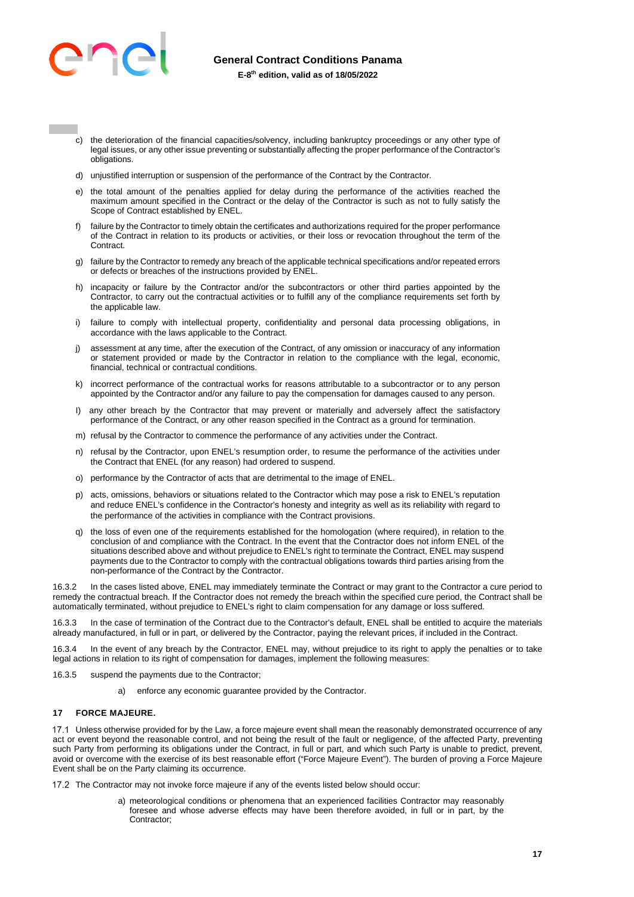

- c) the deterioration of the financial capacities/solvency, including bankruptcy proceedings or any other type of legal issues, or any other issue preventing or substantially affecting the proper performance of the Contractor's obligations.
- d) unjustified interruption or suspension of the performance of the Contract by the Contractor.
- e) the total amount of the penalties applied for delay during the performance of the activities reached the maximum amount specified in the Contract or the delay of the Contractor is such as not to fully satisfy the Scope of Contract established by ENEL.
- f) failure by the Contractor to timely obtain the certificates and authorizations required for the proper performance of the Contract in relation to its products or activities, or their loss or revocation throughout the term of the Contract.
- g) failure by the Contractor to remedy any breach of the applicable technical specifications and/or repeated errors or defects or breaches of the instructions provided by ENEL.
- h) incapacity or failure by the Contractor and/or the subcontractors or other third parties appointed by the Contractor, to carry out the contractual activities or to fulfill any of the compliance requirements set forth by the applicable law.
- i) failure to comply with intellectual property, confidentiality and personal data processing obligations, in accordance with the laws applicable to the Contract.
- j) assessment at any time, after the execution of the Contract, of any omission or inaccuracy of any information or statement provided or made by the Contractor in relation to the compliance with the legal, economic, financial, technical or contractual conditions.
- k) incorrect performance of the contractual works for reasons attributable to a subcontractor or to any person appointed by the Contractor and/or any failure to pay the compensation for damages caused to any person.
- I) any other breach by the Contractor that may prevent or materially and adversely affect the satisfactory performance of the Contract, or any other reason specified in the Contract as a ground for termination.
- m) refusal by the Contractor to commence the performance of any activities under the Contract.
- n) refusal by the Contractor, upon ENEL's resumption order, to resume the performance of the activities under the Contract that ENEL (for any reason) had ordered to suspend.
- o) performance by the Contractor of acts that are detrimental to the image of ENEL.
- p) acts, omissions, behaviors or situations related to the Contractor which may pose a risk to ENEL's reputation and reduce ENEL's confidence in the Contractor's honesty and integrity as well as its reliability with regard to the performance of the activities in compliance with the Contract provisions.
- q) the loss of even one of the requirements established for the homologation (where required), in relation to the conclusion of and compliance with the Contract. In the event that the Contractor does not inform ENEL of the situations described above and without prejudice to ENEL's right to terminate the Contract, ENEL may suspend payments due to the Contractor to comply with the contractual obligations towards third parties arising from the non-performance of the Contract by the Contractor.

16.3.2 In the cases listed above, ENEL may immediately terminate the Contract or may grant to the Contractor a cure period to remedy the contractual breach. If the Contractor does not remedy the breach within the specified cure period, the Contract shall be automatically terminated, without prejudice to ENEL's right to claim compensation for any damage or loss suffered.

16.3.3 In the case of termination of the Contract due to the Contractor's default, ENEL shall be entitled to acquire the materials already manufactured, in full or in part, or delivered by the Contractor, paying the relevant prices, if included in the Contract.

In the event of any breach by the Contractor, ENEL may, without prejudice to its right to apply the penalties or to take legal actions in relation to its right of compensation for damages, implement the following measures:

- 16.3.5 suspend the payments due to the Contractor;
	- a) enforce any economic guarantee provided by the Contractor.

#### <span id="page-16-0"></span>**17 FORCE MAJEURE.**

17.1 Unless otherwise provided for by the Law, a force majeure event shall mean the reasonably demonstrated occurrence of any act or event beyond the reasonable control, and not being the result of the fault or negligence, of the affected Party, preventing such Party from performing its obligations under the Contract, in full or part, and which such Party is unable to predict, prevent, avoid or overcome with the exercise of its best reasonable effort ("Force Majeure Event"). The burden of proving a Force Majeure Event shall be on the Party claiming its occurrence.

17.2 The Contractor may not invoke force majeure if any of the events listed below should occur:

a) meteorological conditions or phenomena that an experienced facilities Contractor may reasonably foresee and whose adverse effects may have been therefore avoided, in full or in part, by the Contractor;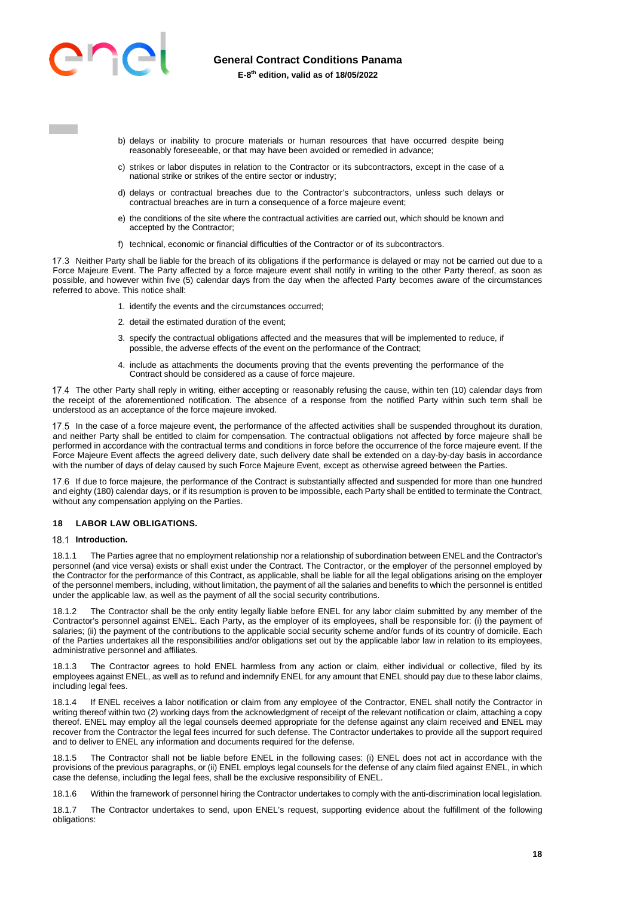

- b) delays or inability to procure materials or human resources that have occurred despite being reasonably foreseeable, or that may have been avoided or remedied in advance;
- c) strikes or labor disputes in relation to the Contractor or its subcontractors, except in the case of a national strike or strikes of the entire sector or industry;
- d) delays or contractual breaches due to the Contractor's subcontractors, unless such delays or contractual breaches are in turn a consequence of a force majeure event;
- e) the conditions of the site where the contractual activities are carried out, which should be known and accepted by the Contractor;
- f) technical, economic or financial difficulties of the Contractor or of its subcontractors.

17.3 Neither Party shall be liable for the breach of its obligations if the performance is delayed or may not be carried out due to a Force Majeure Event. The Party affected by a force majeure event shall notify in writing to the other Party thereof, as soon as possible, and however within five (5) calendar days from the day when the affected Party becomes aware of the circumstances referred to above. This notice shall:

- 1. identify the events and the circumstances occurred;
- 2. detail the estimated duration of the event;
- 3. specify the contractual obligations affected and the measures that will be implemented to reduce, if possible, the adverse effects of the event on the performance of the Contract;
- 4. include as attachments the documents proving that the events preventing the performance of the Contract should be considered as a cause of force majeure.

17.4 The other Party shall reply in writing, either accepting or reasonably refusing the cause, within ten (10) calendar days from the receipt of the aforementioned notification. The absence of a response from the notified Party within such term shall be understood as an acceptance of the force majeure invoked.

17.5 In the case of a force majeure event, the performance of the affected activities shall be suspended throughout its duration, and neither Party shall be entitled to claim for compensation. The contractual obligations not affected by force majeure shall be performed in accordance with the contractual terms and conditions in force before the occurrence of the force majeure event. If the Force Majeure Event affects the agreed delivery date, such delivery date shall be extended on a day-by-day basis in accordance with the number of days of delay caused by such Force Majeure Event, except as otherwise agreed between the Parties.

17.6 If due to force majeure, the performance of the Contract is substantially affected and suspended for more than one hundred and eighty (180) calendar days, or if its resumption is proven to be impossible, each Party shall be entitled to terminate the Contract, without any compensation applying on the Parties.

#### <span id="page-17-0"></span>**18 LABOR LAW OBLIGATIONS.**

#### 18.1 **Introduction.**

18.1.1 The Parties agree that no employment relationship nor a relationship of subordination between ENEL and the Contractor's personnel (and vice versa) exists or shall exist under the Contract. The Contractor, or the employer of the personnel employed by the Contractor for the performance of this Contract, as applicable, shall be liable for all the legal obligations arising on the employer of the personnel members, including, without limitation, the payment of all the salaries and benefits to which the personnel is entitled under the applicable law, as well as the payment of all the social security contributions.

18.1.2 The Contractor shall be the only entity legally liable before ENEL for any labor claim submitted by any member of the Contractor's personnel against ENEL. Each Party, as the employer of its employees, shall be responsible for: (i) the payment of salaries; (ii) the payment of the contributions to the applicable social security scheme and/or funds of its country of domicile. Each of the Parties undertakes all the responsibilities and/or obligations set out by the applicable labor law in relation to its employees, administrative personnel and affiliates.

18.1.3 The Contractor agrees to hold ENEL harmless from any action or claim, either individual or collective, filed by its employees against ENEL, as well as to refund and indemnify ENEL for any amount that ENEL should pay due to these labor claims, including legal fees.

18.1.4 If ENEL receives a labor notification or claim from any employee of the Contractor, ENEL shall notify the Contractor in writing thereof within two (2) working days from the acknowledgment of receipt of the relevant notification or claim, attaching a copy thereof. ENEL may employ all the legal counsels deemed appropriate for the defense against any claim received and ENEL may recover from the Contractor the legal fees incurred for such defense. The Contractor undertakes to provide all the support required and to deliver to ENEL any information and documents required for the defense.

18.1.5 The Contractor shall not be liable before ENEL in the following cases: (i) ENEL does not act in accordance with the provisions of the previous paragraphs, or (ii) ENEL employs legal counsels for the defense of any claim filed against ENEL, in which case the defense, including the legal fees, shall be the exclusive responsibility of ENEL.

18.1.6 Within the framework of personnel hiring the Contractor undertakes to comply with the anti-discrimination local legislation.

18.1.7 The Contractor undertakes to send, upon ENEL's request, supporting evidence about the fulfillment of the following obligations: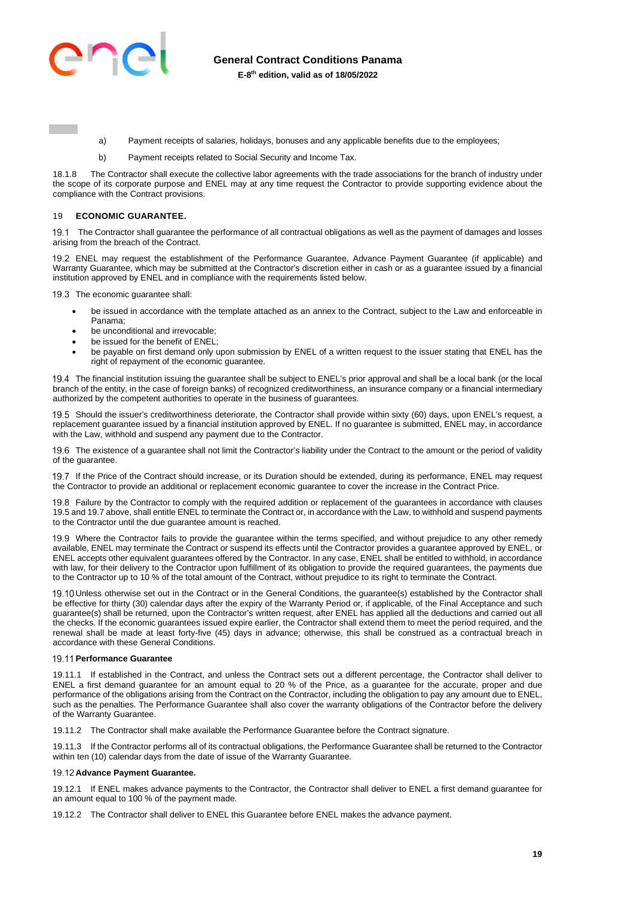

- a) Payment receipts of salaries, holidays, bonuses and any applicable benefits due to the employees;
- b) Payment receipts related to Social Security and Income Tax.

18.1.8 The Contractor shall execute the collective labor agreements with the trade associations for the branch of industry under the scope of its corporate purpose and ENEL may at any time request the Contractor to provide supporting evidence about the compliance with the Contract provisions.

#### <span id="page-18-0"></span>19 **ECONOMIC GUARANTEE.**

19.1 The Contractor shall guarantee the performance of all contractual obligations as well as the payment of damages and losses arising from the breach of the Contract.

 ENEL may request the establishment of the Performance Guarantee, Advance Payment Guarantee (if applicable) and Warranty Guarantee, which may be submitted at the Contractor's discretion either in cash or as a guarantee issued by a financial institution approved by ENEL and in compliance with the requirements listed below.

19.3 The economic quarantee shall:

- be issued in accordance with the template attached as an annex to the Contract, subject to the Law and enforceable in Panama;
- be unconditional and irrevocable;
- be issued for the benefit of ENEL;
- be payable on first demand only upon submission by ENEL of a written request to the issuer stating that ENEL has the right of repayment of the economic guarantee.

 The financial institution issuing the guarantee shall be subject to ENEL's prior approval and shall be a local bank (or the local branch of the entity, in the case of foreign banks) of recognized creditworthiness, an insurance company or a financial intermediary authorized by the competent authorities to operate in the business of guarantees.

19.5 Should the issuer's creditworthiness deteriorate, the Contractor shall provide within sixty (60) days, upon ENEL's request, a replacement guarantee issued by a financial institution approved by ENEL. If no guarantee is submitted, ENEL may, in accordance with the Law, withhold and suspend any payment due to the Contractor.

19.6 The existence of a quarantee shall not limit the Contractor's liability under the Contract to the amount or the period of validity of the guarantee.

19.7 If the Price of the Contract should increase, or its Duration should be extended, during its performance, ENEL may request the Contractor to provide an additional or replacement economic guarantee to cover the increase in the Contract Price.

19.8 Failure by the Contractor to comply with the required addition or replacement of the quarantees in accordance with clauses 19.5 and 19.7 above, shall entitle ENEL to terminate the Contract or, in accordance with the Law, to withhold and suspend payments to the Contractor until the due guarantee amount is reached.

19.9 Where the Contractor fails to provide the guarantee within the terms specified, and without prejudice to any other remedy available, ENEL may terminate the Contract or suspend its effects until the Contractor provides a guarantee approved by ENEL, or ENEL accepts other equivalent guarantees offered by the Contractor. In any case, ENEL shall be entitled to withhold, in accordance with law, for their delivery to the Contractor upon fulfillment of its obligation to provide the required guarantees, the payments due to the Contractor up to 10 % of the total amount of the Contract, without prejudice to its right to terminate the Contract.

19.10 Unless otherwise set out in the Contract or in the General Conditions, the guarantee(s) established by the Contractor shall be effective for thirty (30) calendar days after the expiry of the Warranty Period or, if applicable, of the Final Acceptance and such guarantee(s) shall be returned, upon the Contractor's written request, after ENEL has applied all the deductions and carried out all the checks. If the economic guarantees issued expire earlier, the Contractor shall extend them to meet the period required, and the renewal shall be made at least forty-five (45) days in advance; otherwise, this shall be construed as a contractual breach in accordance with these General Conditions.

#### **Performance Guarantee**

19.11.1 If established in the Contract, and unless the Contract sets out a different percentage, the Contractor shall deliver to ENEL a first demand guarantee for an amount equal to 20 % of the Price, as a guarantee for the accurate, proper and due performance of the obligations arising from the Contract on the Contractor, including the obligation to pay any amount due to ENEL, such as the penalties. The Performance Guarantee shall also cover the warranty obligations of the Contractor before the delivery of the Warranty Guarantee.

19.11.2 The Contractor shall make available the Performance Guarantee before the Contract signature.

19.11.3 If the Contractor performs all of its contractual obligations, the Performance Guarantee shall be returned to the Contractor within ten (10) calendar days from the date of issue of the Warranty Guarantee.

# **Advance Payment Guarantee.**

19.12.1 If ENEL makes advance payments to the Contractor, the Contractor shall deliver to ENEL a first demand guarantee for an amount equal to 100 % of the payment made.

19.12.2 The Contractor shall deliver to ENEL this Guarantee before ENEL makes the advance payment.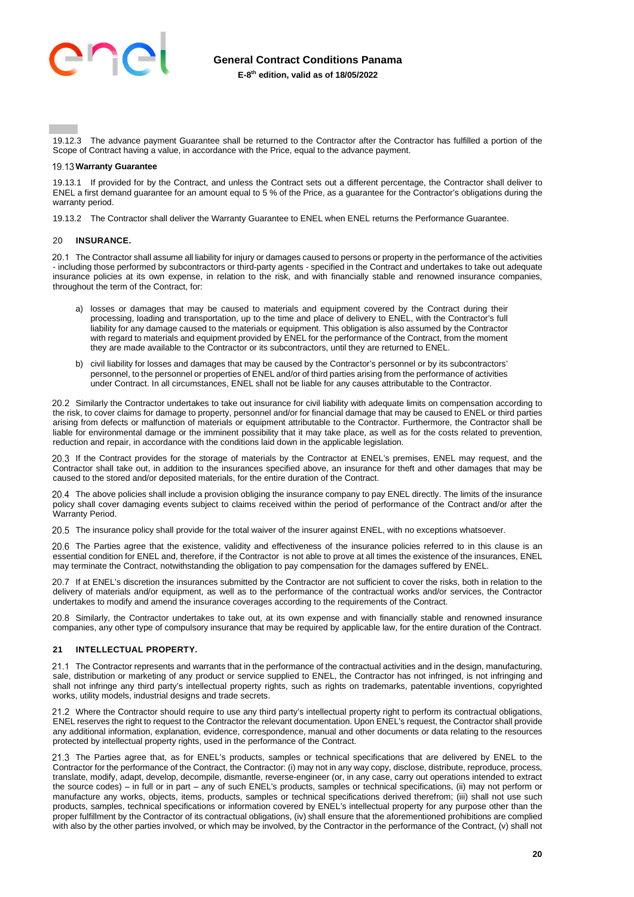

19.12.3 The advance payment Guarantee shall be returned to the Contractor after the Contractor has fulfilled a portion of the Scope of Contract having a value, in accordance with the Price, equal to the advance payment.

#### **Warranty Guarantee**

19.13.1 If provided for by the Contract, and unless the Contract sets out a different percentage, the Contractor shall deliver to ENEL a first demand guarantee for an amount equal to 5 % of the Price, as a guarantee for the Contractor's obligations during the warranty period.

19.13.2 The Contractor shall deliver the Warranty Guarantee to ENEL when ENEL returns the Performance Guarantee.

#### <span id="page-19-0"></span>20 **INSURANCE.**

20.1 The Contractor shall assume all liability for injury or damages caused to persons or property in the performance of the activities - including those performed by subcontractors or third-party agents - specified in the Contract and undertakes to take out adequate insurance policies at its own expense, in relation to the risk, and with financially stable and renowned insurance companies, throughout the term of the Contract, for:

- a) losses or damages that may be caused to materials and equipment covered by the Contract during their processing, loading and transportation, up to the time and place of delivery to ENEL, with the Contractor's full liability for any damage caused to the materials or equipment. This obligation is also assumed by the Contractor with regard to materials and equipment provided by ENEL for the performance of the Contract, from the moment they are made available to the Contractor or its subcontractors, until they are returned to ENEL.
- b) civil liability for losses and damages that may be caused by the Contractor's personnel or by its subcontractors' personnel, to the personnel or properties of ENEL and/or of third parties arising from the performance of activities under Contract. In all circumstances, ENEL shall not be liable for any causes attributable to the Contractor.

20.2 Similarly the Contractor undertakes to take out insurance for civil liability with adequate limits on compensation according to the risk, to cover claims for damage to property, personnel and/or for financial damage that may be caused to ENEL or third parties arising from defects or malfunction of materials or equipment attributable to the Contractor. Furthermore, the Contractor shall be liable for environmental damage or the imminent possibility that it may take place, as well as for the costs related to prevention, reduction and repair, in accordance with the conditions laid down in the applicable legislation.

20.3 If the Contract provides for the storage of materials by the Contractor at ENEL's premises, ENEL may request, and the Contractor shall take out, in addition to the insurances specified above, an insurance for theft and other damages that may be caused to the stored and/or deposited materials, for the entire duration of the Contract.

 The above policies shall include a provision obliging the insurance company to pay ENEL directly. The limits of the insurance policy shall cover damaging events subject to claims received within the period of performance of the Contract and/or after the Warranty Period.

20.5 The insurance policy shall provide for the total waiver of the insurer against ENEL, with no exceptions whatsoever.

20.6 The Parties agree that the existence, validity and effectiveness of the insurance policies referred to in this clause is an essential condition for ENEL and, therefore, if the Contractor is not able to prove at all times the existence of the insurances, ENEL may terminate the Contract, notwithstanding the obligation to pay compensation for the damages suffered by ENEL.

20.7 If at ENEL's discretion the insurances submitted by the Contractor are not sufficient to cover the risks, both in relation to the delivery of materials and/or equipment, as well as to the performance of the contractual works and/or services, the Contractor undertakes to modify and amend the insurance coverages according to the requirements of the Contract.

20.8 Similarly, the Contractor undertakes to take out, at its own expense and with financially stable and renowned insurance companies, any other type of compulsory insurance that may be required by applicable law, for the entire duration of the Contract.

#### <span id="page-19-1"></span>**21 INTELLECTUAL PROPERTY.**

21.1 The Contractor represents and warrants that in the performance of the contractual activities and in the design, manufacturing, sale, distribution or marketing of any product or service supplied to ENEL, the Contractor has not infringed, is not infringing and shall not infringe any third party's intellectual property rights, such as rights on trademarks, patentable inventions, copyrighted works, utility models, industrial designs and trade secrets.

21.2 Where the Contractor should require to use any third party's intellectual property right to perform its contractual obligations, ENEL reserves the right to request to the Contractor the relevant documentation. Upon ENEL's request, the Contractor shall provide any additional information, explanation, evidence, correspondence, manual and other documents or data relating to the resources protected by intellectual property rights, used in the performance of the Contract.

21.3 The Parties agree that, as for ENEL's products, samples or technical specifications that are delivered by ENEL to the Contractor for the performance of the Contract, the Contractor: (i) may not in any way copy, disclose, distribute, reproduce, process, translate, modify, adapt, develop, decompile, dismantle, reverse-engineer (or, in any case, carry out operations intended to extract the source codes) – in full or in part – any of such ENEL's products, samples or technical specifications, (ii) may not perform or manufacture any works, objects, items, products, samples or technical specifications derived therefrom; (iii) shall not use such products, samples, technical specifications or information covered by ENEL's intellectual property for any purpose other than the proper fulfillment by the Contractor of its contractual obligations, (iv) shall ensure that the aforementioned prohibitions are complied with also by the other parties involved, or which may be involved, by the Contractor in the performance of the Contract, (v) shall not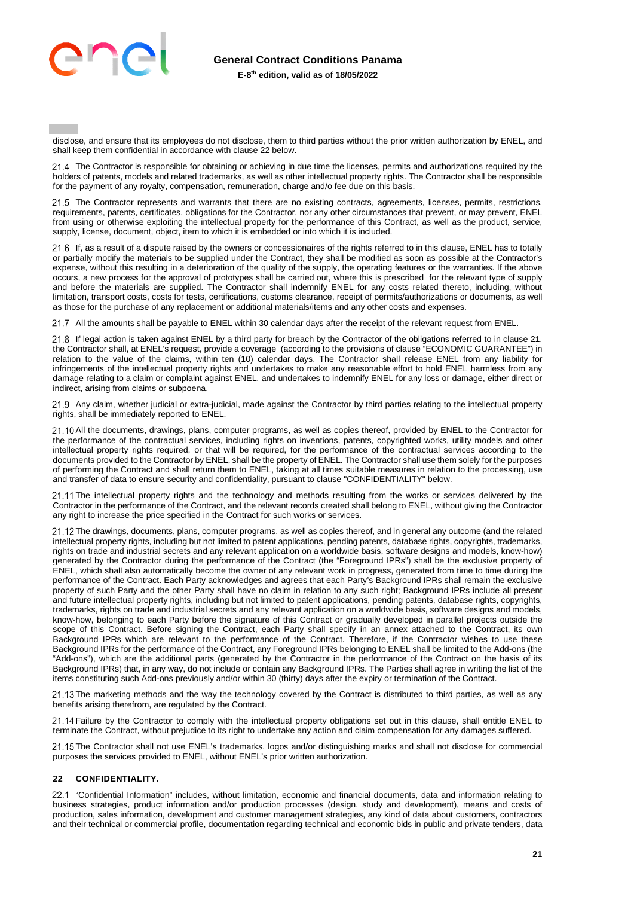

disclose, and ensure that its employees do not disclose, them to third parties without the prior written authorization by ENEL, and shall keep them confidential in accordance with clause 22 below.

21.4 The Contractor is responsible for obtaining or achieving in due time the licenses, permits and authorizations required by the holders of patents, models and related trademarks, as well as other intellectual property rights. The Contractor shall be responsible for the payment of any royalty, compensation, remuneration, charge and/o fee due on this basis.

21.5 The Contractor represents and warrants that there are no existing contracts, agreements, licenses, permits, restrictions, requirements, patents, certificates, obligations for the Contractor, nor any other circumstances that prevent, or may prevent, ENEL from using or otherwise exploiting the intellectual property for the performance of this Contract, as well as the product, service, supply, license, document, object, item to which it is embedded or into which it is included.

21.6 If, as a result of a dispute raised by the owners or concessionaires of the rights referred to in this clause, ENEL has to totally or partially modify the materials to be supplied under the Contract, they shall be modified as soon as possible at the Contractor's expense, without this resulting in a deterioration of the quality of the supply, the operating features or the warranties. If the above occurs, a new process for the approval of prototypes shall be carried out, where this is prescribed for the relevant type of supply and before the materials are supplied. The Contractor shall indemnify ENEL for any costs related thereto, including, without limitation, transport costs, costs for tests, certifications, customs clearance, receipt of permits/authorizations or documents, as well as those for the purchase of any replacement or additional materials/items and any other costs and expenses.

21.7 All the amounts shall be payable to ENEL within 30 calendar days after the receipt of the relevant request from ENEL.

 If legal action is taken against ENEL by a third party for breach by the Contractor of the obligations referred to in clause 21, the Contractor shall, at ENEL's request, provide a coverage (according to the provisions of clause "ECONOMIC GUARANTEE") in relation to the value of the claims, within ten (10) calendar days. The Contractor shall release ENEL from any liability for infringements of the intellectual property rights and undertakes to make any reasonable effort to hold ENEL harmless from any damage relating to a claim or complaint against ENEL, and undertakes to indemnify ENEL for any loss or damage, either direct or indirect, arising from claims or subpoena.

 Any claim, whether judicial or extra-judicial, made against the Contractor by third parties relating to the intellectual property rights, shall be immediately reported to ENEL.

21.10 All the documents, drawings, plans, computer programs, as well as copies thereof, provided by ENEL to the Contractor for the performance of the contractual services, including rights on inventions, patents, copyrighted works, utility models and other intellectual property rights required, or that will be required, for the performance of the contractual services according to the documents provided to the Contractor by ENEL, shall be the property of ENEL. The Contractor shall use them solely for the purposes of performing the Contract and shall return them to ENEL, taking at all times suitable measures in relation to the processing, use and transfer of data to ensure security and confidentiality, pursuant to clause "CONFIDENTIALITY" below.

21.11 The intellectual property rights and the technology and methods resulting from the works or services delivered by the Contractor in the performance of the Contract, and the relevant records created shall belong to ENEL, without giving the Contractor any right to increase the price specified in the Contract for such works or services.

21.12 The drawings, documents, plans, computer programs, as well as copies thereof, and in general any outcome (and the related intellectual property rights, including but not limited to patent applications, pending patents, database rights, copyrights, trademarks, rights on trade and industrial secrets and any relevant application on a worldwide basis, software designs and models, know-how) generated by the Contractor during the performance of the Contract (the "Foreground IPRs") shall be the exclusive property of ENEL, which shall also automatically become the owner of any relevant work in progress, generated from time to time during the performance of the Contract. Each Party acknowledges and agrees that each Party's Background IPRs shall remain the exclusive property of such Party and the other Party shall have no claim in relation to any such right; Background IPRs include all present and future intellectual property rights, including but not limited to patent applications, pending patents, database rights, copyrights, trademarks, rights on trade and industrial secrets and any relevant application on a worldwide basis, software designs and models, know-how, belonging to each Party before the signature of this Contract or gradually developed in parallel projects outside the scope of this Contract. Before signing the Contract, each Party shall specify in an annex attached to the Contract, its own Background IPRs which are relevant to the performance of the Contract. Therefore, if the Contractor wishes to use these Background IPRs for the performance of the Contract, any Foreground IPRs belonging to ENEL shall be limited to the Add-ons (the "Add-ons"), which are the additional parts (generated by the Contractor in the performance of the Contract on the basis of its Background IPRs) that, in any way, do not include or contain any Background IPRs. The Parties shall agree in writing the list of the items constituting such Add-ons previously and/or within 30 (thirty) days after the expiry or termination of the Contract.

21.13 The marketing methods and the way the technology covered by the Contract is distributed to third parties, as well as any benefits arising therefrom, are regulated by the Contract.

 Failure by the Contractor to comply with the intellectual property obligations set out in this clause, shall entitle ENEL to terminate the Contract, without prejudice to its right to undertake any action and claim compensation for any damages suffered.

21.15 The Contractor shall not use ENEL's trademarks, logos and/or distinguishing marks and shall not disclose for commercial purposes the services provided to ENEL, without ENEL's prior written authorization.

#### <span id="page-20-0"></span>**22 CONFIDENTIALITY.**

22.1 "Confidential Information" includes, without limitation, economic and financial documents, data and information relating to business strategies, product information and/or production processes (design, study and development), means and costs of production, sales information, development and customer management strategies, any kind of data about customers, contractors and their technical or commercial profile, documentation regarding technical and economic bids in public and private tenders, data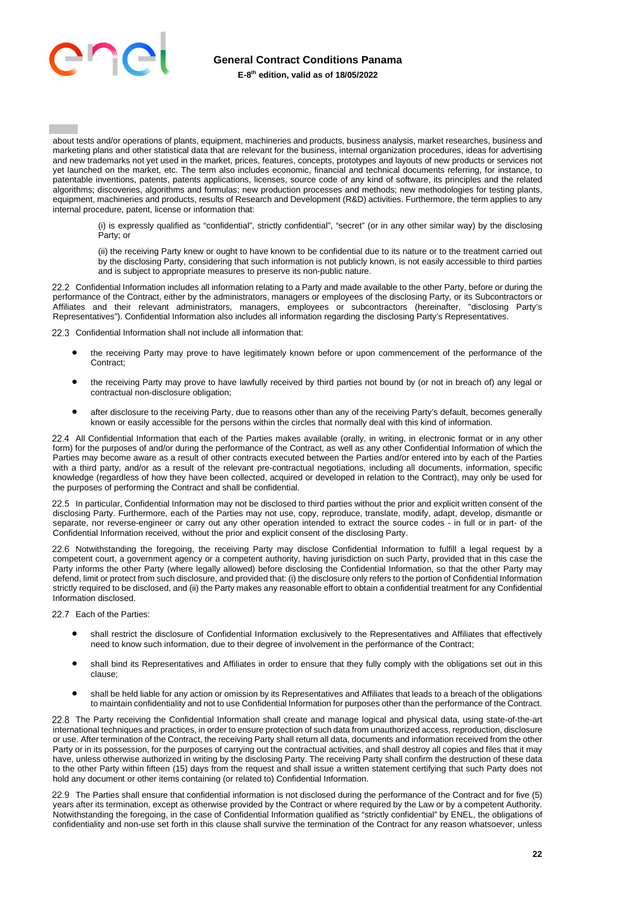

# **General Contract Conditions Panama**

**E-8th edition, valid as of 18/05/2022**

about tests and/or operations of plants, equipment, machineries and products, business analysis, market researches, business and marketing plans and other statistical data that are relevant for the business, internal organization procedures, ideas for advertising and new trademarks not yet used in the market, prices, features, concepts, prototypes and layouts of new products or services not yet launched on the market, etc. The term also includes economic, financial and technical documents referring, for instance, to patentable inventions, patents, patents applications, licenses, source code of any kind of software, its principles and the related algorithms; discoveries, algorithms and formulas; new production processes and methods; new methodologies for testing plants, equipment, machineries and products, results of Research and Development (R&D) activities. Furthermore, the term applies to any internal procedure, patent, license or information that:

(i) is expressly qualified as "confidential", strictly confidential", "secret" (or in any other similar way) by the disclosing Party; or

(ii) the receiving Party knew or ought to have known to be confidential due to its nature or to the treatment carried out by the disclosing Party, considering that such information is not publicly known, is not easily accessible to third parties and is subject to appropriate measures to preserve its non-public nature.

22.2 Confidential Information includes all information relating to a Party and made available to the other Party, before or during the performance of the Contract, either by the administrators, managers or employees of the disclosing Party, or its Subcontractors or Affiliates and their relevant administrators, managers, employees or subcontractors (hereinafter, "disclosing Party's Representatives"). Confidential Information also includes all information regarding the disclosing Party's Representatives.

22.3 Confidential Information shall not include all information that:

- the receiving Party may prove to have legitimately known before or upon commencement of the performance of the Contract:
- the receiving Party may prove to have lawfully received by third parties not bound by (or not in breach of) any legal or contractual non-disclosure obligation;
- after disclosure to the receiving Party, due to reasons other than any of the receiving Party's default, becomes generally known or easily accessible for the persons within the circles that normally deal with this kind of information.

 All Confidential Information that each of the Parties makes available (orally, in writing, in electronic format or in any other form) for the purposes of and/or during the performance of the Contract, as well as any other Confidential Information of which the Parties may become aware as a result of other contracts executed between the Parties and/or entered into by each of the Parties with a third party, and/or as a result of the relevant pre-contractual negotiations, including all documents, information, specific knowledge (regardless of how they have been collected, acquired or developed in relation to the Contract), may only be used for the purposes of performing the Contract and shall be confidential.

22.5 In particular, Confidential Information may not be disclosed to third parties without the prior and explicit written consent of the disclosing Party. Furthermore, each of the Parties may not use, copy, reproduce, translate, modify, adapt, develop, dismantle or separate, nor reverse-engineer or carry out any other operation intended to extract the source codes - in full or in part- of the Confidential Information received, without the prior and explicit consent of the disclosing Party.

22.6 Notwithstanding the foregoing, the receiving Party may disclose Confidential Information to fulfill a legal request by a competent court, a government agency or a competent authority, having jurisdiction on such Party, provided that in this case the Party informs the other Party (where legally allowed) before disclosing the Confidential Information, so that the other Party may defend, limit or protect from such disclosure, and provided that: (i) the disclosure only refers to the portion of Confidential Information strictly required to be disclosed, and (ii) the Party makes any reasonable effort to obtain a confidential treatment for any Confidential Information disclosed.

22.7 Fach of the Parties:

- shall restrict the disclosure of Confidential Information exclusively to the Representatives and Affiliates that effectively need to know such information, due to their degree of involvement in the performance of the Contract;
- shall bind its Representatives and Affiliates in order to ensure that they fully comply with the obligations set out in this clause;
- shall be held liable for any action or omission by its Representatives and Affiliates that leads to a breach of the obligations to maintain confidentiality and not to use Confidential Information for purposes other than the performance of the Contract.

22.8 The Party receiving the Confidential Information shall create and manage logical and physical data, using state-of-the-art international techniques and practices, in order to ensure protection of such data from unauthorized access, reproduction, disclosure or use. After termination of the Contract, the receiving Party shall return all data, documents and information received from the other Party or in its possession, for the purposes of carrying out the contractual activities, and shall destroy all copies and files that it may have, unless otherwise authorized in writing by the disclosing Party. The receiving Party shall confirm the destruction of these data to the other Party within fifteen (15) days from the request and shall issue a written statement certifying that such Party does not hold any document or other items containing (or related to) Confidential Information.

 The Parties shall ensure that confidential information is not disclosed during the performance of the Contract and for five (5) years after its termination, except as otherwise provided by the Contract or where required by the Law or by a competent Authority. Notwithstanding the foregoing, in the case of Confidential Information qualified as "strictly confidential" by ENEL, the obligations of confidentiality and non-use set forth in this clause shall survive the termination of the Contract for any reason whatsoever, unless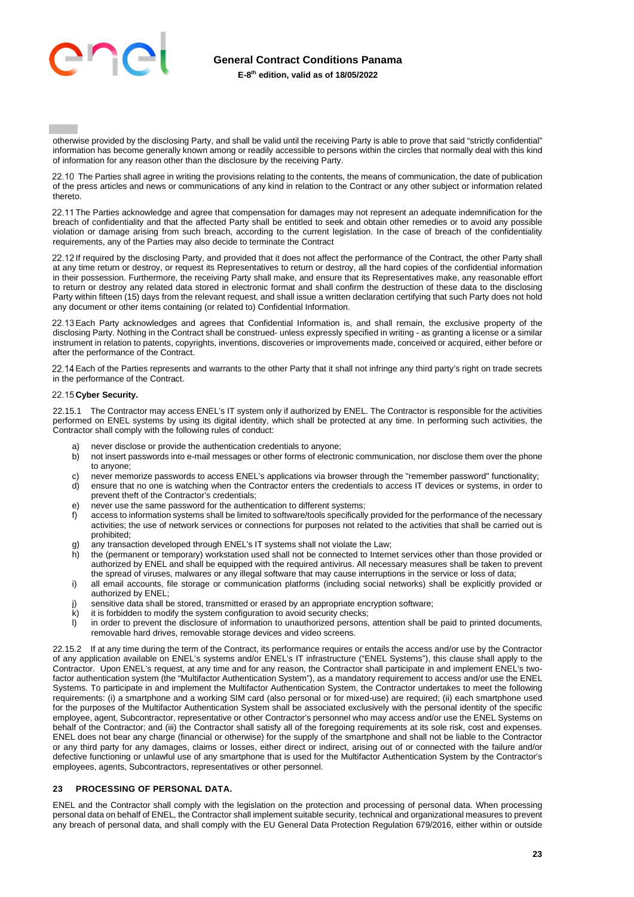

otherwise provided by the disclosing Party, and shall be valid until the receiving Party is able to prove that said "strictly confidential" information has become generally known among or readily accessible to persons within the circles that normally deal with this kind of information for any reason other than the disclosure by the receiving Party.

22.10 The Parties shall agree in writing the provisions relating to the contents, the means of communication, the date of publication of the press articles and news or communications of any kind in relation to the Contract or any other subject or information related thereto.

22.11 The Parties acknowledge and agree that compensation for damages may not represent an adequate indemnification for the breach of confidentiality and that the affected Party shall be entitled to seek and obtain other remedies or to avoid any possible violation or damage arising from such breach, according to the current legislation. In the case of breach of the confidentiality requirements, any of the Parties may also decide to terminate the Contract

22.12 If required by the disclosing Party, and provided that it does not affect the performance of the Contract, the other Party shall at any time return or destroy, or request its Representatives to return or destroy, all the hard copies of the confidential information in their possession. Furthermore, the receiving Party shall make, and ensure that its Representatives make, any reasonable effort to return or destroy any related data stored in electronic format and shall confirm the destruction of these data to the disclosing Party within fifteen (15) days from the relevant request, and shall issue a written declaration certifying that such Party does not hold any document or other items containing (or related to) Confidential Information.

 Each Party acknowledges and agrees that Confidential Information is, and shall remain, the exclusive property of the disclosing Party. Nothing in the Contract shall be construed- unless expressly specified in writing - as granting a license or a similar instrument in relation to patents, copyrights, inventions, discoveries or improvements made, conceived or acquired, either before or after the performance of the Contract.

22.14 Each of the Parties represents and warrants to the other Party that it shall not infringe any third party's right on trade secrets in the performance of the Contract.

# 22.15 Cyber Security.

22.15.1 The Contractor may access ENEL's IT system only if authorized by ENEL. The Contractor is responsible for the activities performed on ENEL systems by using its digital identity, which shall be protected at any time. In performing such activities, the Contractor shall comply with the following rules of conduct:

- a) never disclose or provide the authentication credentials to anyone;
- b) not insert passwords into e-mail messages or other forms of electronic communication, nor disclose them over the phone to anyone;
- c) never memorize passwords to access ENEL's applications via browser through the "remember password" functionality;
- d) ensure that no one is watching when the Contractor enters the credentials to access IT devices or systems, in order to prevent theft of the Contractor's credentials;
- e) never use the same password for the authentication to different systems;
- f) access to information systems shall be limited to software/tools specifically provided for the performance of the necessary activities; the use of network services or connections for purposes not related to the activities that shall be carried out is prohibited;
- g) any transaction developed through ENEL's IT systems shall not violate the Law;
- h) the (permanent or temporary) workstation used shall not be connected to Internet services other than those provided or authorized by ENEL and shall be equipped with the required antivirus. All necessary measures shall be taken to prevent the spread of viruses, malwares or any illegal software that may cause interruptions in the service or loss of data;
- i) all email accounts, file storage or communication platforms (including social networks) shall be explicitly provided or authorized by ENEL;
- j) sensitive data shall be stored, transmitted or erased by an appropriate encryption software;
- $k$ ) it is forbidden to modify the system configuration to avoid security checks;
- l) in order to prevent the disclosure of information to unauthorized persons, attention shall be paid to printed documents, removable hard drives, removable storage devices and video screens.

22.15.2 If at any time during the term of the Contract, its performance requires or entails the access and/or use by the Contractor of any application available on ENEL's systems and/or ENEL's IT infrastructure ("ENEL Systems"), this clause shall apply to the Contractor. Upon ENEL's request, at any time and for any reason, the Contractor shall participate in and implement ENEL's twofactor authentication system (the "Multifactor Authentication System"), as a mandatory requirement to access and/or use the ENEL Systems. To participate in and implement the Multifactor Authentication System, the Contractor undertakes to meet the following requirements: (i) a smartphone and a working SIM card (also personal or for mixed-use) are required; (ii) each smartphone used for the purposes of the Multifactor Authentication System shall be associated exclusively with the personal identity of the specific employee, agent, Subcontractor, representative or other Contractor's personnel who may access and/or use the ENEL Systems on behalf of the Contractor; and (iii) the Contractor shall satisfy all of the foregoing requirements at its sole risk, cost and expenses. ENEL does not bear any charge (financial or otherwise) for the supply of the smartphone and shall not be liable to the Contractor or any third party for any damages, claims or losses, either direct or indirect, arising out of or connected with the failure and/or defective functioning or unlawful use of any smartphone that is used for the Multifactor Authentication System by the Contractor's employees, agents, Subcontractors, representatives or other personnel.

# <span id="page-22-0"></span>**23 PROCESSING OF PERSONAL DATA.**

ENEL and the Contractor shall comply with the legislation on the protection and processing of personal data. When processing personal data on behalf of ENEL, the Contractor shall implement suitable security, technical and organizational measures to prevent any breach of personal data, and shall comply with the EU General Data Protection Regulation 679/2016, either within or outside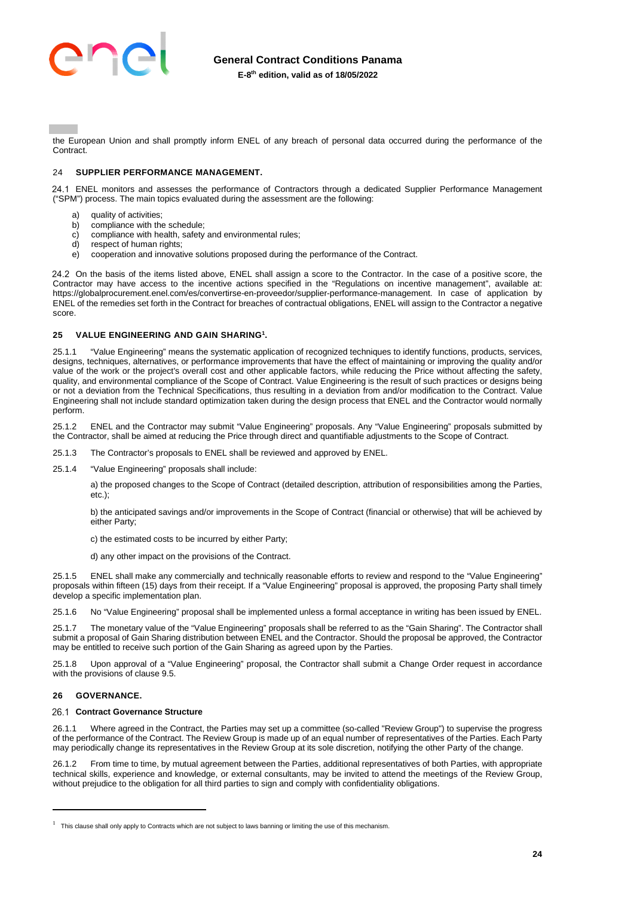

the European Union and shall promptly inform ENEL of any breach of personal data occurred during the performance of the **Contract.** 

# <span id="page-23-0"></span>24 **SUPPLIER PERFORMANCE MANAGEMENT.**

 ENEL monitors and assesses the performance of Contractors through a dedicated Supplier Performance Management ("SPM") process. The main topics evaluated during the assessment are the following:

- a) quality of activities;<br>b) compliance with the
- compliance with the schedule;
- c) compliance with health, safety and environmental rules;
- d) respect of human rights;
- e) cooperation and innovative solutions proposed during the performance of the Contract.

24.2 On the basis of the items listed above, ENEL shall assign a score to the Contractor. In the case of a positive score, the Contractor may have access to the incentive actions specified in the "Regulations on incentive management", available at: https://globalprocurement.enel.com/es/convertirse-en-proveedor/supplier-performance-management. In case of application by ENEL of the remedies set forth in the Contract for breaches of contractual obligations, ENEL will assign to the Contractor a negative score.

# <span id="page-23-1"></span>**25 VALUE ENGINEERING AND GAIN SHARING<sup>1</sup> .**

25.1.1 "Value Engineering" means the systematic application of recognized techniques to identify functions, products, services, designs, techniques, alternatives, or performance improvements that have the effect of maintaining or improving the quality and/or value of the work or the project's overall cost and other applicable factors, while reducing the Price without affecting the safety, quality, and environmental compliance of the Scope of Contract. Value Engineering is the result of such practices or designs being or not a deviation from the Technical Specifications, thus resulting in a deviation from and/or modification to the Contract. Value Engineering shall not include standard optimization taken during the design process that ENEL and the Contractor would normally perform.

25.1.2 ENEL and the Contractor may submit "Value Engineering" proposals. Any "Value Engineering" proposals submitted by the Contractor, shall be aimed at reducing the Price through direct and quantifiable adjustments to the Scope of Contract.

- 25.1.3 The Contractor's proposals to ENEL shall be reviewed and approved by ENEL.
- 25.1.4 "Value Engineering" proposals shall include:

a) the proposed changes to the Scope of Contract (detailed description, attribution of responsibilities among the Parties, etc.);

b) the anticipated savings and/or improvements in the Scope of Contract (financial or otherwise) that will be achieved by either Party;

c) the estimated costs to be incurred by either Party;

d) any other impact on the provisions of the Contract.

25.1.5 ENEL shall make any commercially and technically reasonable efforts to review and respond to the "Value Engineering" proposals within fifteen (15) days from their receipt. If a "Value Engineering" proposal is approved, the proposing Party shall timely develop a specific implementation plan.

25.1.6 No "Value Engineering" proposal shall be implemented unless a formal acceptance in writing has been issued by ENEL.

25.1.7 The monetary value of the "Value Engineering" proposals shall be referred to as the "Gain Sharing". The Contractor shall submit a proposal of Gain Sharing distribution between ENEL and the Contractor. Should the proposal be approved, the Contractor may be entitled to receive such portion of the Gain Sharing as agreed upon by the Parties.

25.1.8 Upon approval of a "Value Engineering" proposal, the Contractor shall submit a Change Order request in accordance with the provisions of clause 9.5

# <span id="page-23-2"></span>**26 GOVERNANCE.**

#### 26.1 Contract Governance Structure

26.1.1 Where agreed in the Contract, the Parties may set up a committee (so-called "Review Group") to supervise the progress of the performance of the Contract. The Review Group is made up of an equal number of representatives of the Parties. Each Party may periodically change its representatives in the Review Group at its sole discretion, notifying the other Party of the change.

26.1.2 From time to time, by mutual agreement between the Parties, additional representatives of both Parties, with appropriate technical skills, experience and knowledge, or external consultants, may be invited to attend the meetings of the Review Group, without prejudice to the obligation for all third parties to sign and comply with confidentiality obligations.

 $1$  This clause shall only apply to Contracts which are not subject to laws banning or limiting the use of this mechanism.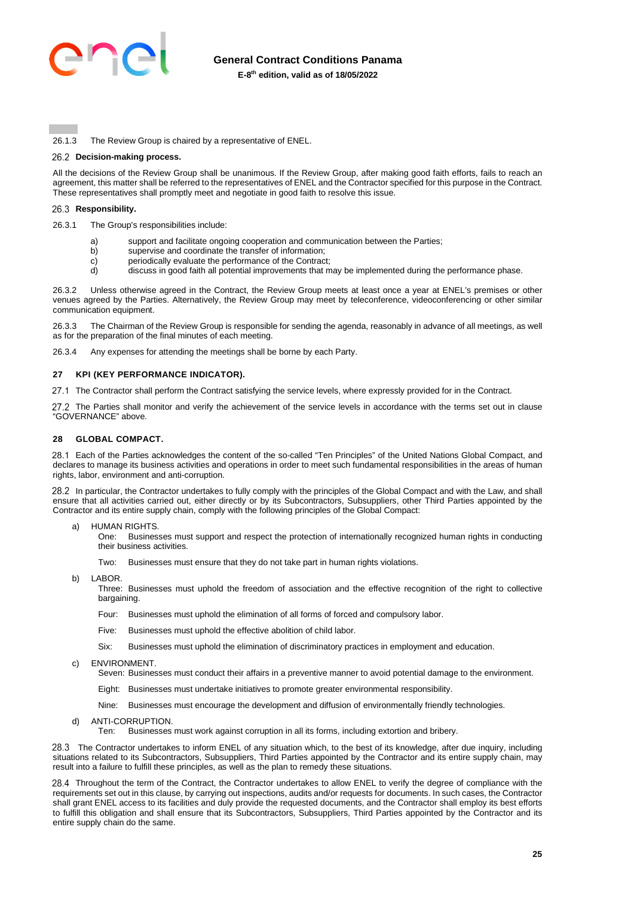

26.1.3 The Review Group is chaired by a representative of ENEL.

#### **Decision-making process.**

All the decisions of the Review Group shall be unanimous. If the Review Group, after making good faith efforts, fails to reach an agreement, this matter shall be referred to the representatives of ENEL and the Contractor specified for this purpose in the Contract. These representatives shall promptly meet and negotiate in good faith to resolve this issue.

#### 26.3 Responsibility.

26.3.1 The Group's responsibilities include:

- a) support and facilitate ongoing cooperation and communication between the Parties;
- b) supervise and coordinate the transfer of information;<br>c) periodically evaluate the performance of the Contract
- periodically evaluate the performance of the Contract:
- d) discuss in good faith all potential improvements that may be implemented during the performance phase.

26.3.2 Unless otherwise agreed in the Contract, the Review Group meets at least once a year at ENEL's premises or other venues agreed by the Parties. Alternatively, the Review Group may meet by teleconference, videoconferencing or other similar communication equipment.

26.3.3 The Chairman of the Review Group is responsible for sending the agenda, reasonably in advance of all meetings, as well as for the preparation of the final minutes of each meeting.

26.3.4 Any expenses for attending the meetings shall be borne by each Party.

#### <span id="page-24-0"></span>**27 KPI (KEY PERFORMANCE INDICATOR).**

27.1 The Contractor shall perform the Contract satisfying the service levels, where expressly provided for in the Contract.

27.2 The Parties shall monitor and verify the achievement of the service levels in accordance with the terms set out in clause "GOVERNANCE" above.

# <span id="page-24-1"></span>**28 GLOBAL COMPACT.**

 Each of the Parties acknowledges the content of the so-called "Ten Principles" of the United Nations Global Compact, and declares to manage its business activities and operations in order to meet such fundamental responsibilities in the areas of human rights, labor, environment and anti-corruption.

28.2 In particular, the Contractor undertakes to fully comply with the principles of the Global Compact and with the Law, and shall ensure that all activities carried out, either directly or by its Subcontractors, Subsuppliers, other Third Parties appointed by the Contractor and its entire supply chain, comply with the following principles of the Global Compact:

a) HUMAN RIGHTS.

One: Businesses must support and respect the protection of internationally recognized human rights in conducting their business activities.

Two: Businesses must ensure that they do not take part in human rights violations.

b) LABOR.

Three: Businesses must uphold the freedom of association and the effective recognition of the right to collective bargaining.

Four: Businesses must uphold the elimination of all forms of forced and compulsory labor.

- Five: Businesses must uphold the effective abolition of child labor.
- Six: Businesses must uphold the elimination of discriminatory practices in employment and education.
- c) ENVIRONMENT.

Seven: Businesses must conduct their affairs in a preventive manner to avoid potential damage to the environment.

- Eight: Businesses must undertake initiatives to promote greater environmental responsibility.
- Nine: Businesses must encourage the development and diffusion of environmentally friendly technologies.
- d) ANTI-CORRUPTION.
	- Ten: Businesses must work against corruption in all its forms, including extortion and bribery.

28.3 The Contractor undertakes to inform ENEL of any situation which, to the best of its knowledge, after due inquiry, including situations related to its Subcontractors, Subsuppliers, Third Parties appointed by the Contractor and its entire supply chain, may result into a failure to fulfill these principles, as well as the plan to remedy these situations.

28.4 Throughout the term of the Contract, the Contractor undertakes to allow ENEL to verify the degree of compliance with the requirements set out in this clause, by carrying out inspections, audits and/or requests for documents. In such cases, the Contractor shall grant ENEL access to its facilities and duly provide the requested documents, and the Contractor shall employ its best efforts to fulfill this obligation and shall ensure that its Subcontractors, Subsuppliers, Third Parties appointed by the Contractor and its entire supply chain do the same.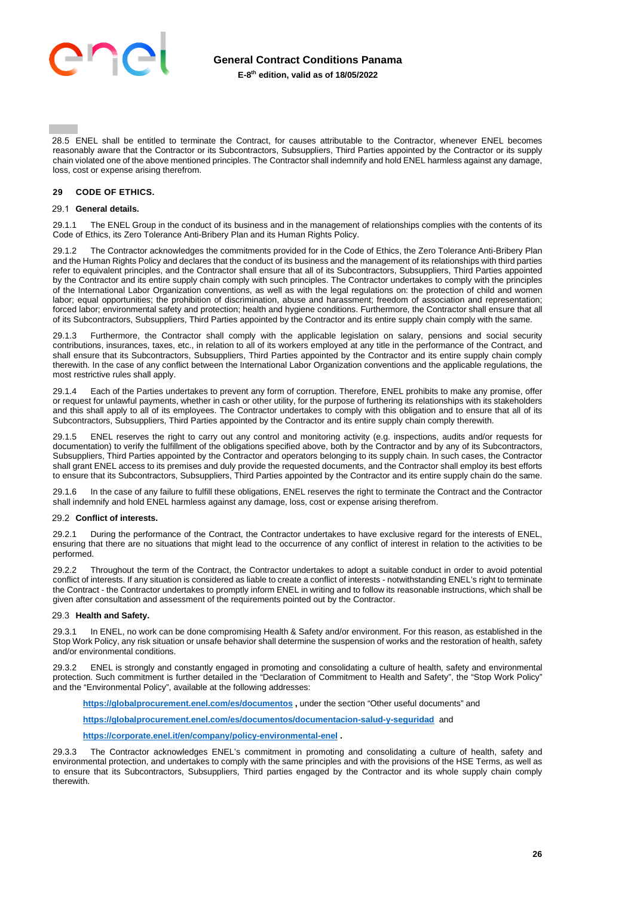

28.5 ENEL shall be entitled to terminate the Contract, for causes attributable to the Contractor, whenever ENEL becomes reasonably aware that the Contractor or its Subcontractors, Subsuppliers, Third Parties appointed by the Contractor or its supply chain violated one of the above mentioned principles. The Contractor shall indemnify and hold ENEL harmless against any damage, loss, cost or expense arising therefrom.

# <span id="page-25-0"></span>**29 CODE OF ETHICS.**

#### **General details.**

29.1.1 The ENEL Group in the conduct of its business and in the management of relationships complies with the contents of its Code of Ethics, its Zero Tolerance Anti-Bribery Plan and its Human Rights Policy.

The Contractor acknowledges the commitments provided for in the Code of Ethics, the Zero Tolerance Anti-Bribery Plan and the Human Rights Policy and declares that the conduct of its business and the management of its relationships with third parties refer to equivalent principles, and the Contractor shall ensure that all of its Subcontractors, Subsuppliers, Third Parties appointed by the Contractor and its entire supply chain comply with such principles. The Contractor undertakes to comply with the principles of the International Labor Organization conventions, as well as with the legal regulations on: the protection of child and women labor; equal opportunities; the prohibition of discrimination, abuse and harassment; freedom of association and representation; forced labor; environmental safety and protection; health and hygiene conditions. Furthermore, the Contractor shall ensure that all of its Subcontractors, Subsuppliers, Third Parties appointed by the Contractor and its entire supply chain comply with the same.

29.1.3 Furthermore, the Contractor shall comply with the applicable legislation on salary, pensions and social security contributions, insurances, taxes, etc., in relation to all of its workers employed at any title in the performance of the Contract, and shall ensure that its Subcontractors, Subsuppliers, Third Parties appointed by the Contractor and its entire supply chain comply therewith. In the case of any conflict between the International Labor Organization conventions and the applicable regulations, the most restrictive rules shall apply.

29.1.4 Each of the Parties undertakes to prevent any form of corruption. Therefore, ENEL prohibits to make any promise, offer or request for unlawful payments, whether in cash or other utility, for the purpose of furthering its relationships with its stakeholders and this shall apply to all of its employees. The Contractor undertakes to comply with this obligation and to ensure that all of its Subcontractors, Subsuppliers, Third Parties appointed by the Contractor and its entire supply chain comply therewith.

ENEL reserves the right to carry out any control and monitoring activity (e.g. inspections, audits and/or requests for documentation) to verify the fulfillment of the obligations specified above, both by the Contractor and by any of its Subcontractors, Subsuppliers, Third Parties appointed by the Contractor and operators belonging to its supply chain. In such cases, the Contractor shall grant ENEL access to its premises and duly provide the requested documents, and the Contractor shall employ its best efforts to ensure that its Subcontractors, Subsuppliers, Third Parties appointed by the Contractor and its entire supply chain do the same.

29.1.6 In the case of any failure to fulfill these obligations, ENEL reserves the right to terminate the Contract and the Contractor shall indemnify and hold ENEL harmless against any damage, loss, cost or expense arising therefrom.

# **Conflict of interests.**

29.2.1 During the performance of the Contract, the Contractor undertakes to have exclusive regard for the interests of ENEL, ensuring that there are no situations that might lead to the occurrence of any conflict of interest in relation to the activities to be performed.

29.2.2 Throughout the term of the Contract, the Contractor undertakes to adopt a suitable conduct in order to avoid potential conflict of interests. If any situation is considered as liable to create a conflict of interests - notwithstanding ENEL's right to terminate the Contract - the Contractor undertakes to promptly inform ENEL in writing and to follow its reasonable instructions, which shall be given after consultation and assessment of the requirements pointed out by the Contractor.

#### 29.3 Health and Safety.

29.3.1 In ENEL, no work can be done compromising Health & Safety and/or environment. For this reason, as established in the Stop Work Policy, any risk situation or unsafe behavior shall determine the suspension of works and the restoration of health, safety and/or environmental conditions.

29.3.2 ENEL is strongly and constantly engaged in promoting and consolidating a culture of health, safety and environmental protection. Such commitment is further detailed in the "Declaration of Commitment to Health and Safety", the "Stop Work Policy" and the "Environmental Policy", available at the following addresses:

**<https://globalprocurement.enel.com/es/documentos>,** under the section "Other useful documents" and

**<https://globalprocurement.enel.com/es/documentos/documentacion-salud-y-seguridad>**and

**<https://corporate.enel.it/en/company/policy-environmental-enel>.** 

29.3.3 The Contractor acknowledges ENEL's commitment in promoting and consolidating a culture of health, safety and environmental protection, and undertakes to comply with the same principles and with the provisions of the HSE Terms, as well as to ensure that its Subcontractors, Subsuppliers, Third parties engaged by the Contractor and its whole supply chain comply therewith.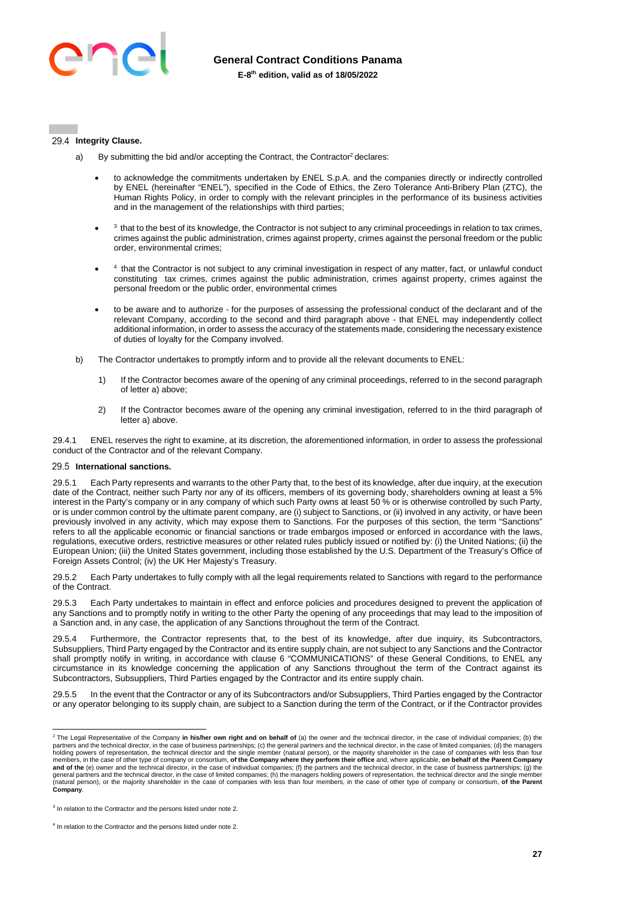

#### 29.4 Integrity Clause.

- a) By submitting the bid and/or accepting the Contract, the Contractor<sup>2</sup> declares:
	- to acknowledge the commitments undertaken by ENEL S.p.A. and the companies directly or indirectly controlled by ENEL (hereinafter "ENEL"), specified in the Code of Ethics, the Zero Tolerance Anti-Bribery Plan (ZTC), the Human Rights Policy, in order to comply with the relevant principles in the performance of its business activities and in the management of the relationships with third parties;
	- $\bullet$ <sup>3</sup> that to the best of its knowledge, the Contractor is not subject to any criminal proceedings in relation to tax crimes, crimes against the public administration, crimes against property, crimes against the personal freedom or the public order, environmental crimes;
	- $\bullet$ <sup>4</sup> that the Contractor is not subject to any criminal investigation in respect of any matter, fact, or unlawful conduct constituting tax crimes, crimes against the public administration, crimes against property, crimes against the personal freedom or the public order, environmental crimes
	- to be aware and to authorize for the purposes of assessing the professional conduct of the declarant and of the relevant Company, according to the second and third paragraph above - that ENEL may independently collect additional information, in order to assess the accuracy of the statements made, considering the necessary existence of duties of loyalty for the Company involved.
- b) The Contractor undertakes to promptly inform and to provide all the relevant documents to ENEL:
	- 1) If the Contractor becomes aware of the opening of any criminal proceedings, referred to in the second paragraph of letter a) above;
	- 2) If the Contractor becomes aware of the opening any criminal investigation, referred to in the third paragraph of letter a) above.

29.4.1 ENEL reserves the right to examine, at its discretion, the aforementioned information, in order to assess the professional conduct of the Contractor and of the relevant Company.

#### **International sanctions.**

29.5.1 Each Party represents and warrants to the other Party that, to the best of its knowledge, after due inquiry, at the execution date of the Contract, neither such Party nor any of its officers, members of its governing body, shareholders owning at least a 5% interest in the Party's company or in any company of which such Party owns at least 50 % or is otherwise controlled by such Party, or is under common control by the ultimate parent company, are (i) subject to Sanctions, or (ii) involved in any activity, or have been previously involved in any activity, which may expose them to Sanctions. For the purposes of this section, the term "Sanctions" refers to all the applicable economic or financial sanctions or trade embargos imposed or enforced in accordance with the laws, regulations, executive orders, restrictive measures or other related rules publicly issued or notified by: (i) the United Nations; (ii) the European Union; (iii) the United States government, including those established by the U.S. Department of the Treasury's Office of Foreign Assets Control; (iv) the UK Her Majesty's Treasury.

29.5.2 Each Party undertakes to fully comply with all the legal requirements related to Sanctions with regard to the performance of the Contract.

Each Party undertakes to maintain in effect and enforce policies and procedures designed to prevent the application of any Sanctions and to promptly notify in writing to the other Party the opening of any proceedings that may lead to the imposition of a Sanction and, in any case, the application of any Sanctions throughout the term of the Contract.

Furthermore, the Contractor represents that, to the best of its knowledge, after due inquiry, its Subcontractors, Subsuppliers, Third Party engaged by the Contractor and its entire supply chain, are not subject to any Sanctions and the Contractor shall promptly notify in writing, in accordance with clause 6 "COMMUNICATIONS" of these General Conditions, to ENEL any circumstance in its knowledge concerning the application of any Sanctions throughout the term of the Contract against its Subcontractors, Subsuppliers, Third Parties engaged by the Contractor and its entire supply chain.

29.5.5 In the event that the Contractor or any of its Subcontractors and/or Subsuppliers, Third Parties engaged by the Contractor or any operator belonging to its supply chain, are subject to a Sanction during the term of the Contract, or if the Contractor provides

<sup>2</sup> The Legal Representative of the Company **in his/her own right and on behalf of** (a) the owner and the technical director, in the case of individual companies; (b) the partners and the technical director, in the case of business partnerships; (c) the general partners and the technical director, in the case of limited companies; (d) the managers<br>holding powers of representation, the techn members, in the case of other type of company or consortium, **of the Company where they perform their office** and, where applicable, **on behalf of the Parent Company**<br>**and of the** (e) owner and the technical director, in t (natural person), or the majority shareholder in the case of companies with less than four members, in the case of other type of company or consortium, **of the Parent Company**.

<sup>&</sup>lt;sup>3</sup> In relation to the Contractor and the persons listed under note 2.

<sup>&</sup>lt;sup>4</sup> In relation to the Contractor and the persons listed under note 2.